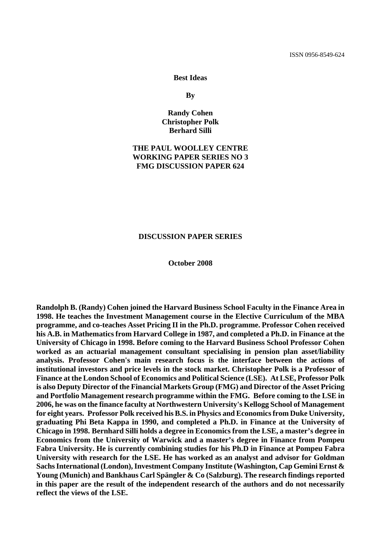### **Best Ideas**

**By** 

### **Randy Cohen Christopher Polk Berhard Silli**

### **THE PAUL WOOLLEY CENTRE WORKING PAPER SERIES NO 3 FMG DISCUSSION PAPER 624**

### **DISCUSSION PAPER SERIES**

### **October 2008**

**Randolph B. (Randy) Cohen joined the Harvard Business School Faculty in the Finance Area in 1998. He teaches the Investment Management course in the Elective Curriculum of the MBA programme, and co-teaches Asset Pricing II in the Ph.D. programme. Professor Cohen received his A.B. in Mathematics from Harvard College in 1987, and completed a Ph.D. in Finance at the University of Chicago in 1998. Before coming to the Harvard Business School Professor Cohen worked as an actuarial management consultant specialising in pension plan asset/liability analysis. Professor Cohen's main research focus is the interface between the actions of institutional investors and price levels in the stock market. Christopher Polk is a Professor of Finance at the London School of Economics and Political Science (LSE). At LSE, Professor Polk is also Deputy Director of the Financial Markets Group (FMG) and Director of the Asset Pricing and Portfolio Management research programme within the FMG. Before coming to the LSE in 2006, he was on the finance faculty at Northwestern University's Kellogg School of Management for eight years. Professor Polk received his B.S. in Physics and Economics from Duke University, graduating Phi Beta Kappa in 1990, and completed a Ph.D. in Finance at the University of Chicago in 1998. Bernhard Silli holds a degree in Economics from the LSE, a master's degree in Economics from the University of Warwick and a master's degree in Finance from Pompeu Fabra University. He is currently combining studies for his Ph.D in Finance at Pompeu Fabra University with research for the LSE. He has worked as an analyst and advisor for Goldman Sachs International (London), Investment Company Institute (Washington, Cap Gemini Ernst & Young (Munich) and Bankhaus Carl Spängler & Co (Salzburg). The research findings reported in this paper are the result of the independent research of the authors and do not necessarily reflect the views of the LSE.**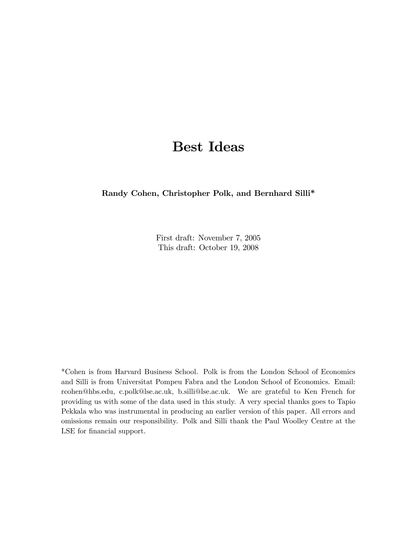# Best Ideas

Randy Cohen, Christopher Polk, and Bernhard Silli\*

First draft: November 7, 2005 This draft: October 19, 2008

\*Cohen is from Harvard Business School. Polk is from the London School of Economics and Silli is from Universitat Pompeu Fabra and the London School of Economics. Email: rcohen@hbs.edu, c.polk@lse.ac.uk, b.silli@lse.ac.uk. We are grateful to Ken French for providing us with some of the data used in this study. A very special thanks goes to Tapio Pekkala who was instrumental in producing an earlier version of this paper. All errors and omissions remain our responsibility. Polk and Silli thank the Paul Woolley Centre at the LSE for financial support.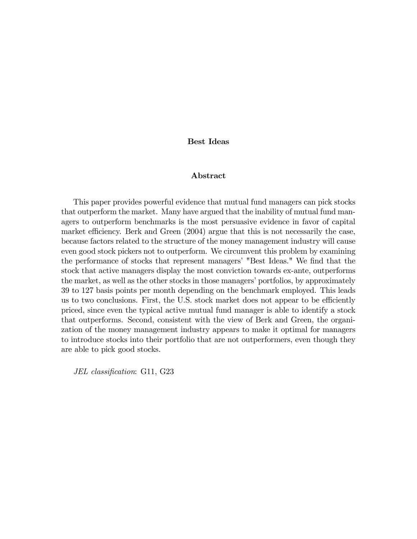### Best Ideas

### Abstract

This paper provides powerful evidence that mutual fund managers can pick stocks that outperform the market. Many have argued that the inability of mutual fund managers to outperform benchmarks is the most persuasive evidence in favor of capital market efficiency. Berk and Green  $(2004)$  argue that this is not necessarily the case, because factors related to the structure of the money management industry will cause even good stock pickers not to outperform. We circumvent this problem by examining the performance of stocks that represent managers' "Best Ideas." We find that the stock that active managers display the most conviction towards ex-ante, outperforms the market, as well as the other stocks in those managers' portfolios, by approximately 39 to 127 basis points per month depending on the benchmark employed. This leads us to two conclusions. First, the U.S. stock market does not appear to be efficiently priced, since even the typical active mutual fund manager is able to identify a stock that outperforms. Second, consistent with the view of Berk and Green, the organization of the money management industry appears to make it optimal for managers to introduce stocks into their portfolio that are not outperformers, even though they are able to pick good stocks.

JEL classification: G11, G23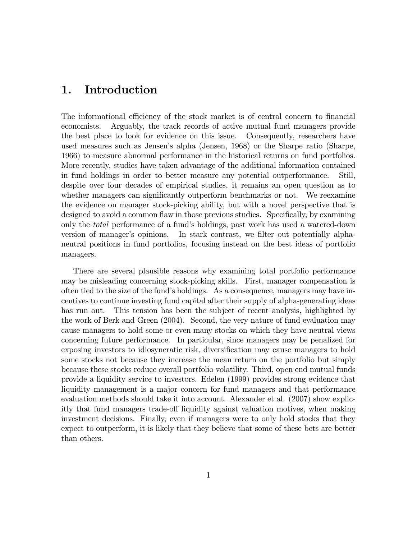# 1. Introduction

The informational efficiency of the stock market is of central concern to financial economists. Arguably, the track records of active mutual fund managers provide the best place to look for evidence on this issue. Consequently, researchers have used measures such as Jensenís alpha (Jensen, 1968) or the Sharpe ratio (Sharpe, 1966) to measure abnormal performance in the historical returns on fund portfolios. More recently, studies have taken advantage of the additional information contained in fund holdings in order to better measure any potential outperformance. Still, despite over four decades of empirical studies, it remains an open question as to whether managers can significantly outperform benchmarks or not. We reexamine the evidence on manager stock-picking ability, but with a novel perspective that is designed to avoid a common flaw in those previous studies. Specifically, by examining only the total performance of a fundís holdings, past work has used a watered-down version of manager's opinions. In stark contrast, we filter out potentially alphaneutral positions in fund portfolios, focusing instead on the best ideas of portfolio managers.

There are several plausible reasons why examining total portfolio performance may be misleading concerning stock-picking skills. First, manager compensation is often tied to the size of the fundís holdings. As a consequence, managers may have incentives to continue investing fund capital after their supply of alpha-generating ideas has run out. This tension has been the subject of recent analysis, highlighted by the work of Berk and Green (2004). Second, the very nature of fund evaluation may cause managers to hold some or even many stocks on which they have neutral views concerning future performance. In particular, since managers may be penalized for exposing investors to idiosyncratic risk, diversification may cause managers to hold some stocks not because they increase the mean return on the portfolio but simply because these stocks reduce overall portfolio volatility. Third, open end mutual funds provide a liquidity service to investors. Edelen (1999) provides strong evidence that liquidity management is a major concern for fund managers and that performance evaluation methods should take it into account. Alexander et al. (2007) show explicitly that fund managers trade-off liquidity against valuation motives, when making investment decisions. Finally, even if managers were to only hold stocks that they expect to outperform, it is likely that they believe that some of these bets are better than others.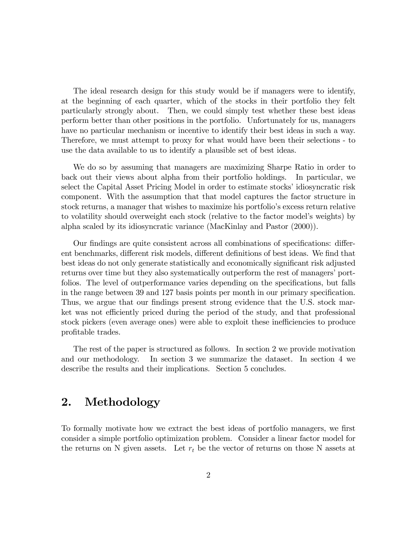The ideal research design for this study would be if managers were to identify, at the beginning of each quarter, which of the stocks in their portfolio they felt particularly strongly about. Then, we could simply test whether these best ideas perform better than other positions in the portfolio. Unfortunately for us, managers have no particular mechanism or incentive to identify their best ideas in such a way. Therefore, we must attempt to proxy for what would have been their selections - to use the data available to us to identify a plausible set of best ideas.

We do so by assuming that managers are maximizing Sharpe Ratio in order to back out their views about alpha from their portfolio holdings. In particular, we select the Capital Asset Pricing Model in order to estimate stocks' idiosyncratic risk component. With the assumption that that model captures the factor structure in stock returns, a manager that wishes to maximize his portfolio's excess return relative to volatility should overweight each stock (relative to the factor modelís weights) by alpha scaled by its idiosyncratic variance (MacKinlay and Pastor (2000)).

Our findings are quite consistent across all combinations of specifications: different benchmarks, different risk models, different definitions of best ideas. We find that best ideas do not only generate statistically and economically significant risk adjusted returns over time but they also systematically outperform the rest of managers' portfolios. The level of outperformance varies depending on the specifications, but falls in the range between 39 and 127 basis points per month in our primary specification. Thus, we argue that our findings present strong evidence that the U.S. stock market was not efficiently priced during the period of the study, and that professional stock pickers (even average ones) were able to exploit these inefficiencies to produce profitable trades.

The rest of the paper is structured as follows. In section 2 we provide motivation and our methodology. In section 3 we summarize the dataset. In section 4 we describe the results and their implications. Section 5 concludes.

# 2. Methodology

To formally motivate how we extract the best ideas of portfolio managers, we first consider a simple portfolio optimization problem. Consider a linear factor model for the returns on N given assets. Let  $r_t$  be the vector of returns on those N assets at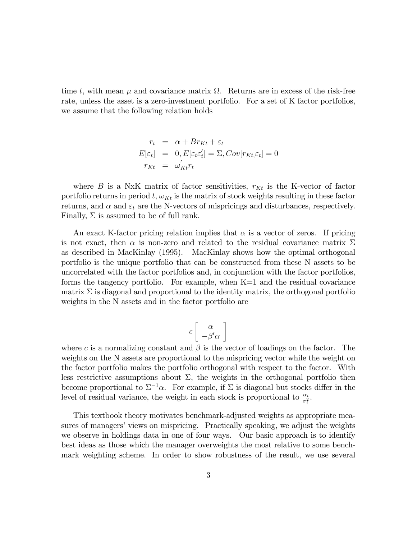time t, with mean  $\mu$  and covariance matrix  $\Omega$ . Returns are in excess of the risk-free rate, unless the asset is a zero-investment portfolio. For a set of K factor portfolios, we assume that the following relation holds

$$
r_t = \alpha + Br_{Kt} + \varepsilon_t
$$
  
\n
$$
E[\varepsilon_t] = 0, E[\varepsilon_t \varepsilon_t'] = \Sigma, Cov[r_{Kt}, \varepsilon_t] = 0
$$
  
\n
$$
r_{Kt} = \omega'_{Kt} r_t
$$

where B is a NxK matrix of factor sensitivities,  $r_{Kt}$  is the K-vector of factor portfolio returns in period  $t, \omega_{Kt}$  is the matrix of stock weights resulting in these factor returns, and  $\alpha$  and  $\varepsilon_t$  are the N-vectors of mispricings and disturbances, respectively. Finally,  $\Sigma$  is assumed to be of full rank.

An exact K-factor pricing relation implies that  $\alpha$  is a vector of zeros. If pricing is not exact, then  $\alpha$  is non-zero and related to the residual covariance matrix  $\Sigma$ as described in MacKinlay (1995). MacKinlay shows how the optimal orthogonal portfolio is the unique portfolio that can be constructed from these N assets to be uncorrelated with the factor portfolios and, in conjunction with the factor portfolios, forms the tangency portfolio. For example, when  $K=1$  and the residual covariance matrix  $\Sigma$  is diagonal and proportional to the identity matrix, the orthogonal portfolio weights in the N assets and in the factor portfolio are

$$
c \left[ \begin{array}{c} \alpha \\ -\beta' \alpha \end{array} \right]
$$

where c is a normalizing constant and  $\beta$  is the vector of loadings on the factor. The weights on the N assets are proportional to the mispricing vector while the weight on the factor portfolio makes the portfolio orthogonal with respect to the factor. With less restrictive assumptions about  $\Sigma$ , the weights in the orthogonal portfolio then become proportional to  $\Sigma^{-1}\alpha$ . For example, if  $\Sigma$  is diagonal but stocks differ in the level of residual variance, the weight in each stock is proportional to  $\frac{\alpha_i}{\sigma_i^2}$ .

This textbook theory motivates benchmark-adjusted weights as appropriate measures of managers' views on mispricing. Practically speaking, we adjust the weights we observe in holdings data in one of four ways. Our basic approach is to identify best ideas as those which the manager overweights the most relative to some benchmark weighting scheme. In order to show robustness of the result, we use several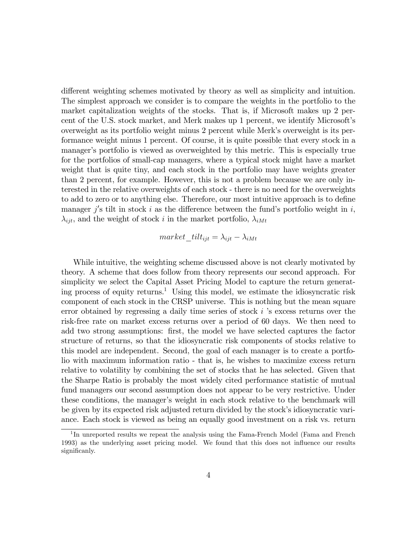different weighting schemes motivated by theory as well as simplicity and intuition. The simplest approach we consider is to compare the weights in the portfolio to the market capitalization weights of the stocks. That is, if Microsoft makes up 2 percent of the U.S. stock market, and Merk makes up 1 percent, we identify Microsoftís overweight as its portfolio weight minus 2 percent while Merkís overweight is its performance weight minus 1 percent. Of course, it is quite possible that every stock in a manager's portfolio is viewed as overweighted by this metric. This is especially true for the portfolios of small-cap managers, where a typical stock might have a market weight that is quite tiny, and each stock in the portfolio may have weights greater than 2 percent, for example. However, this is not a problem because we are only interested in the relative overweights of each stock - there is no need for the overweights to add to zero or to anything else. Therefore, our most intuitive approach is to define manager  $j'$ s tilt in stock i as the difference between the fund's portfolio weight in i,  $\lambda_{ijt}$ , and the weight of stock i in the market portfolio,  $\lambda_{iMt}$ 

$$
market\_tilt_{ijt} = \lambda_{ijt} - \lambda_{iMt}
$$

While intuitive, the weighting scheme discussed above is not clearly motivated by theory. A scheme that does follow from theory represents our second approach. For simplicity we select the Capital Asset Pricing Model to capture the return generating process of equity returns.<sup>1</sup> Using this model, we estimate the idiosyncratic risk component of each stock in the CRSP universe. This is nothing but the mean square error obtained by regressing a daily time series of stock  $i$  's excess returns over the risk-free rate on market excess returns over a period of 60 days. We then need to add two strong assumptions: first, the model we have selected captures the factor structure of returns, so that the idiosyncratic risk components of stocks relative to this model are independent. Second, the goal of each manager is to create a portfolio with maximum information ratio - that is, he wishes to maximize excess return relative to volatility by combining the set of stocks that he has selected. Given that the Sharpe Ratio is probably the most widely cited performance statistic of mutual fund managers our second assumption does not appear to be very restrictive. Under these conditions, the manager's weight in each stock relative to the benchmark will be given by its expected risk adjusted return divided by the stock's idiosyncratic variance. Each stock is viewed as being an equally good investment on a risk vs. return

<sup>&</sup>lt;sup>1</sup>In unreported results we repeat the analysis using the Fama-French Model (Fama and French 1993) as the underlying asset pricing model. We found that this does not influence our results significanly.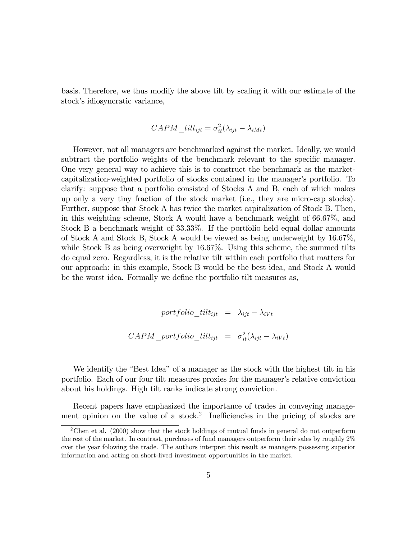basis. Therefore, we thus modify the above tilt by scaling it with our estimate of the stock's idiosyncratic variance,

$$
CAPM\_tilt_{ijt} = \sigma_{it}^2(\lambda_{ijt} - \lambda_{iMt})
$$

However, not all managers are benchmarked against the market. Ideally, we would subtract the portfolio weights of the benchmark relevant to the specific manager. One very general way to achieve this is to construct the benchmark as the marketcapitalization-weighted portfolio of stocks contained in the manager's portfolio. To clarify: suppose that a portfolio consisted of Stocks A and B, each of which makes up only a very tiny fraction of the stock market (i.e., they are micro-cap stocks). Further, suppose that Stock A has twice the market capitalization of Stock B. Then, in this weighting scheme, Stock A would have a benchmark weight of 66.67%, and Stock B a benchmark weight of 33.33%. If the portfolio held equal dollar amounts of Stock A and Stock B, Stock A would be viewed as being underweight by 16.67%, while Stock B as being overweight by 16.67%. Using this scheme, the summed tilts do equal zero. Regardless, it is the relative tilt within each portfolio that matters for our approach: in this example, Stock B would be the best idea, and Stock A would be the worst idea. Formally we define the portfolio tilt measures as,

> portfolio tilt<sub>ijt</sub> =  $\lambda_{ijt} - \lambda_{iVt}$  $CAPM\_portfolio\_tilt_{ijt} = \sigma_{it}^2(\lambda_{ijt} - \lambda_{iVt})$

We identify the "Best Idea" of a manager as the stock with the highest tilt in his portfolio. Each of our four tilt measures proxies for the manager's relative conviction about his holdings. High tilt ranks indicate strong conviction.

Recent papers have emphasized the importance of trades in conveying management opinion on the value of a stock.<sup>2</sup> Inefficiencies in the pricing of stocks are

<sup>&</sup>lt;sup>2</sup>Chen et al. (2000) show that the stock holdings of mutual funds in general do not outperform the rest of the market. In contrast, purchases of fund managers outperform their sales by roughly 2% over the year folowing the trade. The authors interpret this result as managers possessing superior information and acting on short-lived investment opportunities in the market.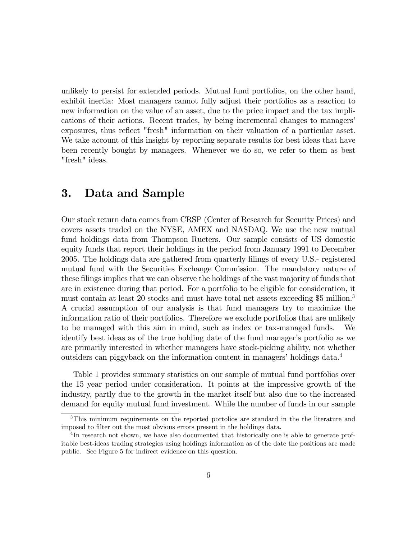unlikely to persist for extended periods. Mutual fund portfolios, on the other hand, exhibit inertia: Most managers cannot fully adjust their portfolios as a reaction to new information on the value of an asset, due to the price impact and the tax implications of their actions. Recent trades, by being incremental changes to managersí exposures, thus reflect "fresh" information on their valuation of a particular asset. We take account of this insight by reporting separate results for best ideas that have been recently bought by managers. Whenever we do so, we refer to them as best "fresh" ideas.

# 3. Data and Sample

Our stock return data comes from CRSP (Center of Research for Security Prices) and covers assets traded on the NYSE, AMEX and NASDAQ. We use the new mutual fund holdings data from Thompson Rueters. Our sample consists of US domestic equity funds that report their holdings in the period from January 1991 to December 2005. The holdings data are gathered from quarterly Ölings of every U.S.- registered mutual fund with the Securities Exchange Commission. The mandatory nature of these filings implies that we can observe the holdings of the vast majority of funds that are in existence during that period. For a portfolio to be eligible for consideration, it must contain at least 20 stocks and must have total net assets exceeding \$5 million.<sup>3</sup> A crucial assumption of our analysis is that fund managers try to maximize the information ratio of their portfolios. Therefore we exclude portfolios that are unlikely to be managed with this aim in mind, such as index or tax-managed funds. We identify best ideas as of the true holding date of the fund manager's portfolio as we are primarily interested in whether managers have stock-picking ability, not whether outsiders can piggyback on the information content in managers' holdings data.<sup>4</sup>

Table 1 provides summary statistics on our sample of mutual fund portfolios over the 15 year period under consideration. It points at the impressive growth of the industry, partly due to the growth in the market itself but also due to the increased demand for equity mutual fund investment. While the number of funds in our sample

<sup>3</sup>This minimum requirements on the reported portolios are standard in the the literature and imposed to filter out the most obvious errors present in the holdings data.

<sup>&</sup>lt;sup>4</sup>In research not shown, we have also documented that historically one is able to generate profitable best-ideas trading strategies using holdings information as of the date the positions are made public. See Figure 5 for indirect evidence on this question.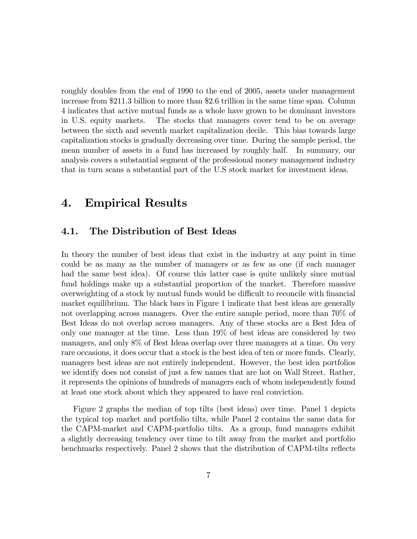roughly doubles from the end of 1990 to the end of 2005, assets under management increase from \$211.3 billion to more than \$2.6 trillion in the same time span. Column 4 indicates that active mutual funds as a whole have grown to be dominant investors in U.S. equity markets. The stocks that managers cover tend to be on average between the sixth and seventh market capitalization decile. This bias towards large capitalization stocks is gradually decreasing over time. During the sample period, the mean number of assets in a fund has increased by roughly half. In summary, our analysis covers a substantial segment of the professional money management industry that in turn scans a substantial part of the U.S stock market for investment ideas.

# 4. Empirical Results

### 4.1. The Distribution of Best Ideas

In theory the number of best ideas that exist in the industry at any point in time could be as many as the number of managers or as few as one (if each manager had the same best idea). Of course this latter case is quite unlikely since mutual fund holdings make up a substantial proportion of the market. Therefore massive overweighting of a stock by mutual funds would be difficult to reconcile with financial market equilibrium. The black bars in Figure 1 indicate that best ideas are generally not overlapping across managers. Over the entire sample period, more than 70% of Best Ideas do not overlap across managers. Any of these stocks are a Best Idea of only one manager at the time. Less than 19% of best ideas are considered by two managers, and only 8% of Best Ideas overlap over three managers at a time. On very rare occasions, it does occur that a stock is the best idea of ten or more funds. Clearly, managers best ideas are not entirely independent. However, the best idea portfolios we identify does not consist of just a few names that are hot on Wall Street. Rather, it represents the opinions of hundreds of managers each of whom independently found at least one stock about which they appeared to have real conviction.

Figure 2 graphs the median of top tilts (best ideas) over time. Panel 1 depicts the typical top market and portfolio tilts, while Panel 2 contains the same data for the CAPM-market and CAPM-portfolio tilts. As a group, fund managers exhibit a slightly decreasing tendency over time to tilt away from the market and portfolio benchmarks respectively. Panel 2 shows that the distribution of CAPM-tilts reflects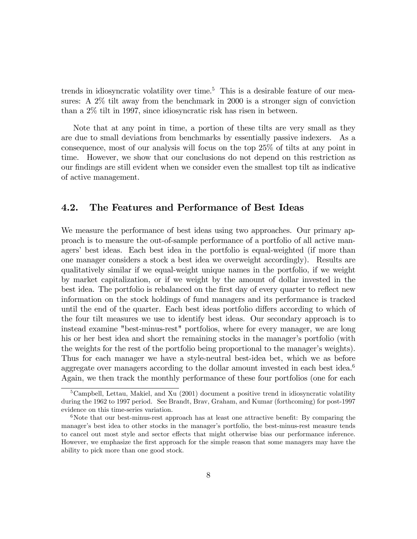trends in idiosyncratic volatility over time.<sup>5</sup> This is a desirable feature of our measures: A 2% tilt away from the benchmark in 2000 is a stronger sign of conviction than a 2% tilt in 1997, since idiosyncratic risk has risen in between.

Note that at any point in time, a portion of these tilts are very small as they are due to small deviations from benchmarks by essentially passive indexers. As a consequence, most of our analysis will focus on the top 25% of tilts at any point in time. However, we show that our conclusions do not depend on this restriction as our Öndings are still evident when we consider even the smallest top tilt as indicative of active management.

### 4.2. The Features and Performance of Best Ideas

We measure the performance of best ideas using two approaches. Our primary approach is to measure the out-of-sample performance of a portfolio of all active managers' best ideas. Each best idea in the portfolio is equal-weighted (if more than one manager considers a stock a best idea we overweight accordingly). Results are qualitatively similar if we equal-weight unique names in the portfolio, if we weight by market capitalization, or if we weight by the amount of dollar invested in the best idea. The portfolio is rebalanced on the first day of every quarter to reflect new information on the stock holdings of fund managers and its performance is tracked until the end of the quarter. Each best ideas portfolio differs according to which of the four tilt measures we use to identify best ideas. Our secondary approach is to instead examine "best-minus-rest" portfolios, where for every manager, we are long his or her best idea and short the remaining stocks in the manager's portfolio (with the weights for the rest of the portfolio being proportional to the manager's weights). Thus for each manager we have a style-neutral best-idea bet, which we as before aggregate over managers according to the dollar amount invested in each best idea.<sup>6</sup> Again, we then track the monthly performance of these four portfolios (one for each

<sup>&</sup>lt;sup>5</sup>Campbell, Lettau, Makiel, and Xu  $(2001)$  document a positive trend in idiosyncratic volatility during the 1962 to 1997 period. See Brandt, Brav, Graham, and Kumar (forthcoming) for post-1997 evidence on this time-series variation.

<sup>&</sup>lt;sup>6</sup>Note that our best-minus-rest approach has at least one attractive benefit: By comparing the manager's best idea to other stocks in the manager's portfolio, the best-minus-rest measure tends to cancel out most style and sector effects that might otherwise bias our performance inference. However, we emphasize the first approach for the simple reason that some managers may have the ability to pick more than one good stock.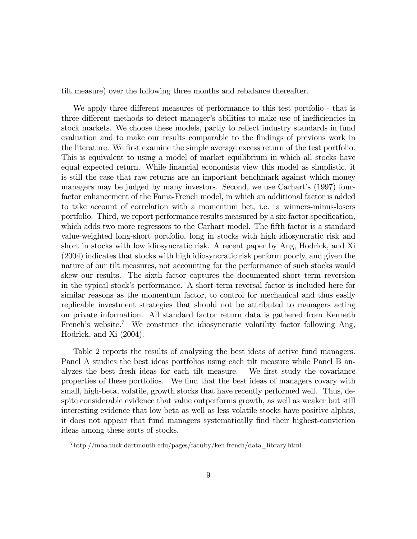tilt measure) over the following three months and rebalance thereafter.

We apply three different measures of performance to this test portfolio - that is three different methods to detect manager's abilities to make use of inefficiencies in stock markets. We choose these models, partly to reflect industry standards in fund evaluation and to make our results comparable to the findings of previous work in the literature. We first examine the simple average excess return of the test portfolio. This is equivalent to using a model of market equilibrium in which all stocks have equal expected return. While financial economists view this model as simplistic, it is still the case that raw returns are an important benchmark against which money managers may be judged by many investors. Second, we use Carhart's (1997) fourfactor enhancement of the Fama-French model, in which an additional factor is added to take account of correlation with a momentum bet, i.e. a winners-minus-losers portfolio. Third, we report performance results measured by a six-factor specification, which adds two more regressors to the Carhart model. The fifth factor is a standard value-weighted long-short portfolio, long in stocks with high idiosyncratic risk and short in stocks with low idiosyncratic risk. A recent paper by Ang, Hodrick, and Xi (2004) indicates that stocks with high idiosyncratic risk perform poorly, and given the nature of our tilt measures, not accounting for the performance of such stocks would skew our results. The sixth factor captures the documented short term reversion in the typical stockís performance. A short-term reversal factor is included here for similar reasons as the momentum factor, to control for mechanical and thus easily replicable investment strategies that should not be attributed to managers acting on private information. All standard factor return data is gathered from Kenneth French's website.<sup>7</sup> We construct the idiosyncratic volatility factor following Ang, Hodrick, and Xi (2004).

Table 2 reports the results of analyzing the best ideas of active fund managers. Panel A studies the best ideas portfolios using each tilt measure while Panel B analyzes the best fresh ideas for each tilt measure. We Örst study the covariance properties of these portfolios. We find that the best ideas of managers covary with small, high-beta, volatile, growth stocks that have recently performed well. Thus, despite considerable evidence that value outperforms growth, as well as weaker but still interesting evidence that low beta as well as less volatile stocks have positive alphas, it does not appear that fund managers systematically Önd their highest-conviction ideas among these sorts of stocks.

<sup>7</sup>http://mba.tuck.dartmouth.edu/pages/faculty/ken.french/data\_library.html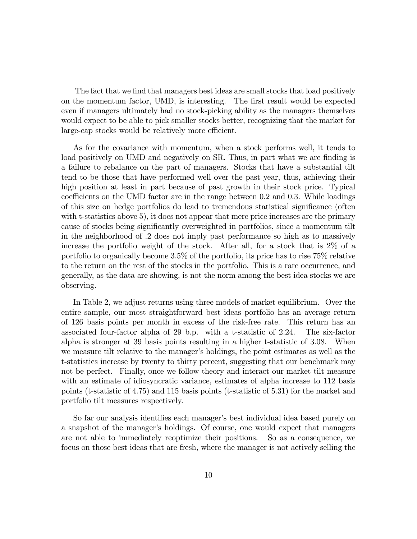The fact that we find that managers best ideas are small stocks that load positively on the momentum factor, UMD, is interesting. The first result would be expected even if managers ultimately had no stock-picking ability as the managers themselves would expect to be able to pick smaller stocks better, recognizing that the market for large-cap stocks would be relatively more efficient.

As for the covariance with momentum, when a stock performs well, it tends to load positively on UMD and negatively on SR. Thus, in part what we are finding is a failure to rebalance on the part of managers. Stocks that have a substantial tilt tend to be those that have performed well over the past year, thus, achieving their high position at least in part because of past growth in their stock price. Typical coefficients on the UMD factor are in the range between  $0.2$  and  $0.3$ . While loadings of this size on hedge portfolios do lead to tremendous statistical significance (often with t-statistics above 5), it does not appear that mere price increases are the primary cause of stocks being significantly overweighted in portfolios, since a momentum tilt in the neighborhood of .2 does not imply past performance so high as to massively increase the portfolio weight of the stock. After all, for a stock that is 2% of a portfolio to organically become 3.5% of the portfolio, its price has to rise 75% relative to the return on the rest of the stocks in the portfolio. This is a rare occurrence, and generally, as the data are showing, is not the norm among the best idea stocks we are observing.

In Table 2, we adjust returns using three models of market equilibrium. Over the entire sample, our most straightforward best ideas portfolio has an average return of 126 basis points per month in excess of the risk-free rate. This return has an associated four-factor alpha of 29 b.p. with a t-statistic of 2.24. The six-factor alpha is stronger at 39 basis points resulting in a higher t-statistic of 3.08. When we measure tilt relative to the manager's holdings, the point estimates as well as the t-statistics increase by twenty to thirty percent, suggesting that our benchmark may not be perfect. Finally, once we follow theory and interact our market tilt measure with an estimate of idiosyncratic variance, estimates of alpha increase to 112 basis points (t-statistic of 4.75) and 115 basis points (t-statistic of 5.31) for the market and portfolio tilt measures respectively.

So far our analysis identifies each manager's best individual idea based purely on a snapshot of the manager's holdings. Of course, one would expect that managers are not able to immediately reoptimize their positions. So as a consequence, we focus on those best ideas that are fresh, where the manager is not actively selling the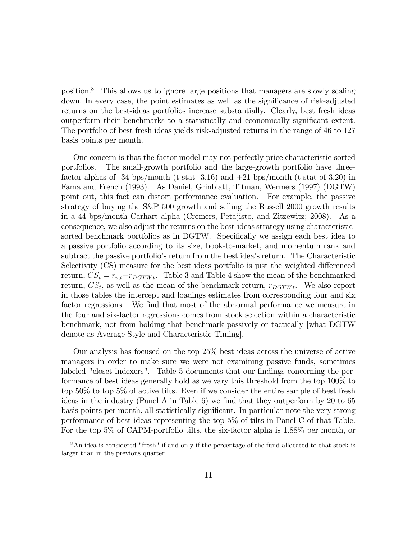position.<sup>8</sup> This allows us to ignore large positions that managers are slowly scaling down. In every case, the point estimates as well as the significance of risk-adjusted returns on the best-ideas portfolios increase substantially. Clearly, best fresh ideas outperform their benchmarks to a statistically and economically significant extent. The portfolio of best fresh ideas yields risk-adjusted returns in the range of 46 to 127 basis points per month.

One concern is that the factor model may not perfectly price characteristic-sorted portfolios. The small-growth portfolio and the large-growth portfolio have threefactor alphas of  $-34$  bps/month (t-stat  $-3.16$ ) and  $+21$  bps/month (t-stat of 3.20) in Fama and French (1993). As Daniel, Grinblatt, Titman, Wermers (1997) (DGTW) point out, this fact can distort performance evaluation. For example, the passive strategy of buying the S&P 500 growth and selling the Russell 2000 growth results in a 44 bps/month Carhart alpha (Cremers, Petajisto, and Zitzewitz; 2008). As a consequence, we also adjust the returns on the best-ideas strategy using characteristicsorted benchmark portfolios as in DGTW. Specifically we assign each best idea to a passive portfolio according to its size, book-to-market, and momentum rank and subtract the passive portfolio's return from the best idea's return. The Characteristic Selectivity (CS) measure for the best ideas portfolio is just the weighted differenced return,  $CS_t = r_{p,t} - r_{DGTW,t}$ . Table 3 and Table 4 show the mean of the benchmarked return,  $CS_t$ , as well as the mean of the benchmark return,  $r_{DGTW,t}$ . We also report in those tables the intercept and loadings estimates from corresponding four and six factor regressions. We find that most of the abnormal performance we measure in the four and six-factor regressions comes from stock selection within a characteristic benchmark, not from holding that benchmark passively or tactically [what DGTW denote as Average Style and Characteristic Timing].

Our analysis has focused on the top 25% best ideas across the universe of active managers in order to make sure we were not examining passive funds, sometimes labeled "closet indexers". Table 5 documents that our findings concerning the performance of best ideas generally hold as we vary this threshold from the top 100% to top 50% to top 5% of active tilts. Even if we consider the entire sample of best fresh ideas in the industry (Panel A in Table 6) we find that they outperform by 20 to 65 basis points per month, all statistically significant. In particular note the very strong performance of best ideas representing the top 5% of tilts in Panel C of that Table. For the top 5% of CAPM-portfolio tilts, the six-factor alpha is 1.88% per month, or

<sup>8</sup>An idea is considered "fresh" if and only if the percentage of the fund allocated to that stock is larger than in the previous quarter.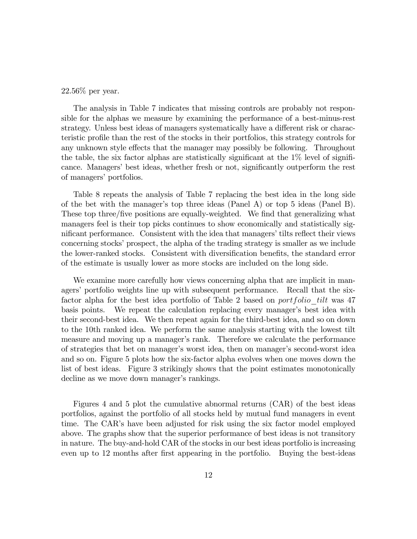22.56% per year.

The analysis in Table 7 indicates that missing controls are probably not responsible for the alphas we measure by examining the performance of a best-minus-rest strategy. Unless best ideas of managers systematically have a different risk or characteristic profile than the rest of the stocks in their portfolios, this strategy controls for any unknown style effects that the manager may possibly be following. Throughout the table, the six factor alphas are statistically significant at the  $1\%$  level of significance. Managers' best ideas, whether fresh or not, significantly outperform the rest of managers' portfolios.

Table 8 repeats the analysis of Table 7 replacing the best idea in the long side of the bet with the manager's top three ideas (Panel A) or top 5 ideas (Panel B). These top three/five positions are equally-weighted. We find that generalizing what managers feel is their top picks continues to show economically and statistically significant performance. Consistent with the idea that managers' tilts reflect their views concerning stocks' prospect, the alpha of the trading strategy is smaller as we include the lower-ranked stocks. Consistent with diversification benefits, the standard error of the estimate is usually lower as more stocks are included on the long side.

We examine more carefully how views concerning alpha that are implicit in managers' portfolio weights line up with subsequent performance. Recall that the sixfactor alpha for the best idea portfolio of Table 2 based on *portfolio* tilt was 47 basis points. We repeat the calculation replacing every manager's best idea with their second-best idea. We then repeat again for the third-best idea, and so on down to the 10th ranked idea. We perform the same analysis starting with the lowest tilt measure and moving up a manager's rank. Therefore we calculate the performance of strategies that bet on manager's worst idea, then on manager's second-worst idea and so on. Figure 5 plots how the six-factor alpha evolves when one moves down the list of best ideas. Figure 3 strikingly shows that the point estimates monotonically decline as we move down manager's rankings.

Figures 4 and 5 plot the cumulative abnormal returns (CAR) of the best ideas portfolios, against the portfolio of all stocks held by mutual fund managers in event time. The CARís have been adjusted for risk using the six factor model employed above. The graphs show that the superior performance of best ideas is not transitory in nature. The buy-and-hold CAR of the stocks in our best ideas portfolio is increasing even up to 12 months after first appearing in the portfolio. Buying the best-ideas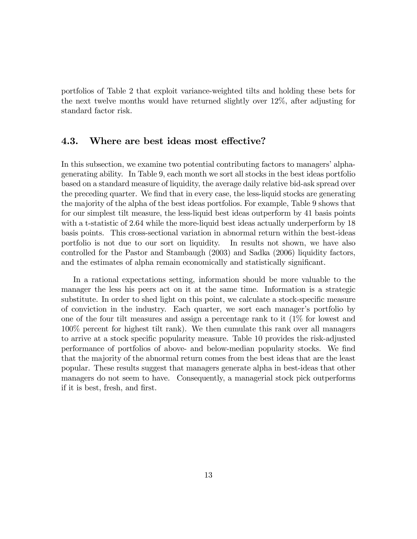portfolios of Table 2 that exploit variance-weighted tilts and holding these bets for the next twelve months would have returned slightly over 12%, after adjusting for standard factor risk.

## 4.3. Where are best ideas most effective?

In this subsection, we examine two potential contributing factors to managers' alphagenerating ability. In Table 9, each month we sort all stocks in the best ideas portfolio based on a standard measure of liquidity, the average daily relative bid-ask spread over the preceding quarter. We find that in every case, the less-liquid stocks are generating the majority of the alpha of the best ideas portfolios. For example, Table 9 shows that for our simplest tilt measure, the less-liquid best ideas outperform by 41 basis points with a t-statistic of 2.64 while the more-liquid best ideas actually underperform by 18 basis points. This cross-sectional variation in abnormal return within the best-ideas portfolio is not due to our sort on liquidity. In results not shown, we have also controlled for the Pastor and Stambaugh (2003) and Sadka (2006) liquidity factors, and the estimates of alpha remain economically and statistically significant.

In a rational expectations setting, information should be more valuable to the manager the less his peers act on it at the same time. Information is a strategic substitute. In order to shed light on this point, we calculate a stock-specific measure of conviction in the industry. Each quarter, we sort each manager's portfolio by one of the four tilt measures and assign a percentage rank to it (1% for lowest and 100% percent for highest tilt rank). We then cumulate this rank over all managers to arrive at a stock specific popularity measure. Table 10 provides the risk-adjusted performance of portfolios of above- and below-median popularity stocks. We find that the majority of the abnormal return comes from the best ideas that are the least popular. These results suggest that managers generate alpha in best-ideas that other managers do not seem to have. Consequently, a managerial stock pick outperforms if it is best, fresh, and first.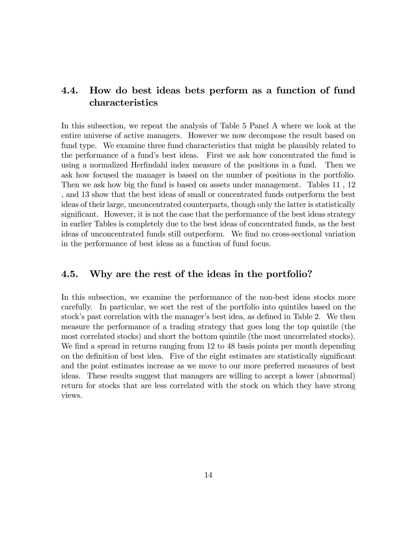## 4.4. How do best ideas bets perform as a function of fund characteristics

In this subsection, we repeat the analysis of Table 5 Panel A where we look at the entire universe of active managers. However we now decompose the result based on fund type. We examine three fund characteristics that might be plausibly related to the performance of a fundís best ideas. First we ask how concentrated the fund is using a normalized Herfindahl index measure of the positions in a fund. Then we ask how focused the manager is based on the number of positions in the portfolio. Then we ask how big the fund is based on assets under management. Tables 11 , 12 , and 13 show that the best ideas of small or concentrated funds outperform the best ideas of their large, unconcentrated counterparts, though only the latter is statistically significant. However, it is not the case that the performance of the best ideas strategy in earlier Tables is completely due to the best ideas of concentrated funds, as the best ideas of unconcentrated funds still outperform. We find no cross-sectional variation in the performance of best ideas as a function of fund focus.

## 4.5. Why are the rest of the ideas in the portfolio?

In this subsection, we examine the performance of the non-best ideas stocks more carefully. In particular, we sort the rest of the portfolio into quintiles based on the stock's past correlation with the manager's best idea, as defined in Table 2. We then measure the performance of a trading strategy that goes long the top quintile (the most correlated stocks) and short the bottom quintile (the most uncorrelated stocks). We find a spread in returns ranging from 12 to 48 basis points per month depending on the definition of best idea. Five of the eight estimates are statistically significant and the point estimates increase as we move to our more preferred measures of best ideas. These results suggest that managers are willing to accept a lower (abnormal) return for stocks that are less correlated with the stock on which they have strong views.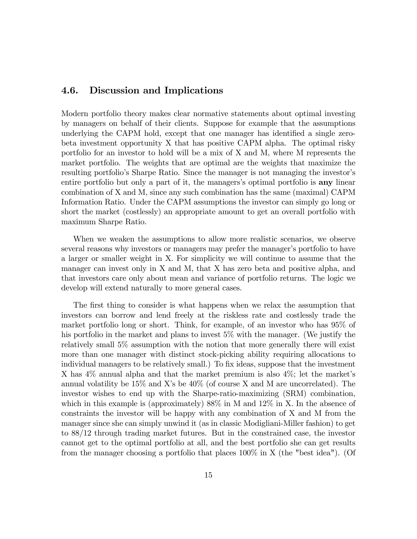### 4.6. Discussion and Implications

Modern portfolio theory makes clear normative statements about optimal investing by managers on behalf of their clients. Suppose for example that the assumptions underlying the CAPM hold, except that one manager has identified a single zerobeta investment opportunity X that has positive CAPM alpha. The optimal risky portfolio for an investor to hold will be a mix of X and M, where M represents the market portfolio. The weights that are optimal are the weights that maximize the resulting portfolio's Sharpe Ratio. Since the manager is not managing the investor's entire portfolio but only a part of it, the managers's optimal portfolio is **any** linear combination of X and M, since any such combination has the same (maximal) CAPM Information Ratio. Under the CAPM assumptions the investor can simply go long or short the market (costlessly) an appropriate amount to get an overall portfolio with maximum Sharpe Ratio.

When we weaken the assumptions to allow more realistic scenarios, we observe several reasons why investors or managers may prefer the manager's portfolio to have a larger or smaller weight in X. For simplicity we will continue to assume that the manager can invest only in X and M, that X has zero beta and positive alpha, and that investors care only about mean and variance of portfolio returns. The logic we develop will extend naturally to more general cases.

The first thing to consider is what happens when we relax the assumption that investors can borrow and lend freely at the riskless rate and costlessly trade the market portfolio long or short. Think, for example, of an investor who has 95% of his portfolio in the market and plans to invest 5% with the manager. (We justify the relatively small 5% assumption with the notion that more generally there will exist more than one manager with distinct stock-picking ability requiring allocations to individual managers to be relatively small.) To fix ideas, suppose that the investment X has  $4\%$  annual alpha and that the market premium is also  $4\%$ ; let the market's annual volatility be  $15\%$  and X's be  $40\%$  (of course X and M are uncorrelated). The investor wishes to end up with the Sharpe-ratio-maximizing (SRM) combination, which in this example is (approximately)  $88\%$  in M and  $12\%$  in X. In the absence of constraints the investor will be happy with any combination of X and M from the manager since she can simply unwind it (as in classic Modigliani-Miller fashion) to get to 88/12 through trading market futures. But in the constrained case, the investor cannot get to the optimal portfolio at all, and the best portfolio she can get results from the manager choosing a portfolio that places 100% in X (the "best idea"). (Of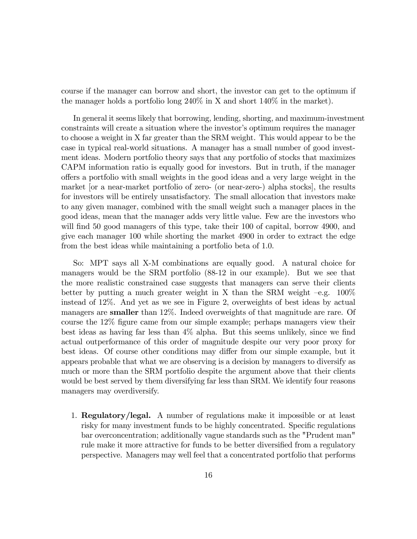course if the manager can borrow and short, the investor can get to the optimum if the manager holds a portfolio long 240% in X and short 140% in the market).

In general it seems likely that borrowing, lending, shorting, and maximum-investment constraints will create a situation where the investor's optimum requires the manager to choose a weight in X far greater than the SRM weight. This would appear to be the case in typical real-world situations. A manager has a small number of good investment ideas. Modern portfolio theory says that any portfolio of stocks that maximizes CAPM information ratio is equally good for investors. But in truth, if the manager o§ers a portfolio with small weights in the good ideas and a very large weight in the market [or a near-market portfolio of zero- (or near-zero-) alpha stocks], the results for investors will be entirely unsatisfactory. The small allocation that investors make to any given manager, combined with the small weight such a manager places in the good ideas, mean that the manager adds very little value. Few are the investors who will find 50 good managers of this type, take their 100 of capital, borrow 4900, and give each manager 100 while shorting the market 4900 in order to extract the edge from the best ideas while maintaining a portfolio beta of 1.0.

So: MPT says all X-M combinations are equally good. A natural choice for managers would be the SRM portfolio (88-12 in our example). But we see that the more realistic constrained case suggests that managers can serve their clients better by putting a much greater weight in X than the SRM weight  $-e.g.$  100% instead of 12%. And yet as we see in Figure 2, overweights of best ideas by actual managers are **smaller** than 12%. Indeed overweights of that magnitude are rare. Of course the 12% figure came from our simple example; perhaps managers view their best ideas as having far less than  $4\%$  alpha. But this seems unlikely, since we find actual outperformance of this order of magnitude despite our very poor proxy for best ideas. Of course other conditions may differ from our simple example, but it appears probable that what we are observing is a decision by managers to diversify as much or more than the SRM portfolio despite the argument above that their clients would be best served by them diversifying far less than SRM. We identify four reasons managers may overdiversify.

1. Regulatory/legal. A number of regulations make it impossible or at least risky for many investment funds to be highly concentrated. Specific regulations bar overconcentration; additionally vague standards such as the "Prudent man" rule make it more attractive for funds to be better diversified from a regulatory perspective. Managers may well feel that a concentrated portfolio that performs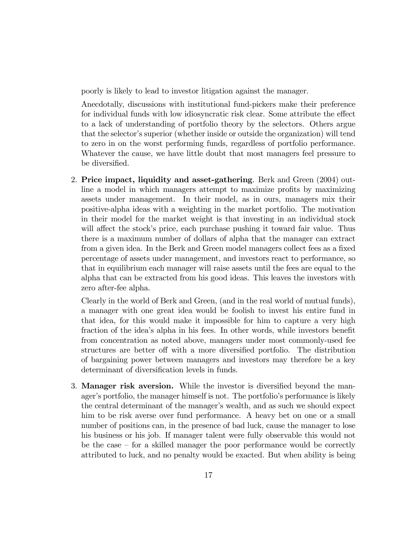poorly is likely to lead to investor litigation against the manager.

Anecdotally, discussions with institutional fund-pickers make their preference for individual funds with low idiosyncratic risk clear. Some attribute the effect to a lack of understanding of portfolio theory by the selectors. Others argue that the selector's superior (whether inside or outside the organization) will tend to zero in on the worst performing funds, regardless of portfolio performance. Whatever the cause, we have little doubt that most managers feel pressure to be diversified.

2. Price impact, liquidity and asset-gathering. Berk and Green (2004) outline a model in which managers attempt to maximize profits by maximizing assets under management. In their model, as in ours, managers mix their positive-alpha ideas with a weighting in the market portfolio. The motivation in their model for the market weight is that investing in an individual stock will affect the stock's price, each purchase pushing it toward fair value. Thus there is a maximum number of dollars of alpha that the manager can extract from a given idea. In the Berk and Green model managers collect fees as a fixed percentage of assets under management, and investors react to performance, so that in equilibrium each manager will raise assets until the fees are equal to the alpha that can be extracted from his good ideas. This leaves the investors with zero after-fee alpha.

Clearly in the world of Berk and Green, (and in the real world of mutual funds), a manager with one great idea would be foolish to invest his entire fund in that idea, for this would make it impossible for him to capture a very high fraction of the idea's alpha in his fees. In other words, while investors benefit from concentration as noted above, managers under most commonly-used fee structures are better off with a more diversified portfolio. The distribution of bargaining power between managers and investors may therefore be a key determinant of diversification levels in funds.

3. **Manager risk aversion.** While the investor is diversified beyond the manager's portfolio, the manager himself is not. The portfolio's performance is likely the central determinant of the manager's wealth, and as such we should expect him to be risk averse over fund performance. A heavy bet on one or a small number of positions can, in the presence of bad luck, cause the manager to lose his business or his job. If manager talent were fully observable this would not be the case  $-$  for a skilled manager the poor performance would be correctly attributed to luck, and no penalty would be exacted. But when ability is being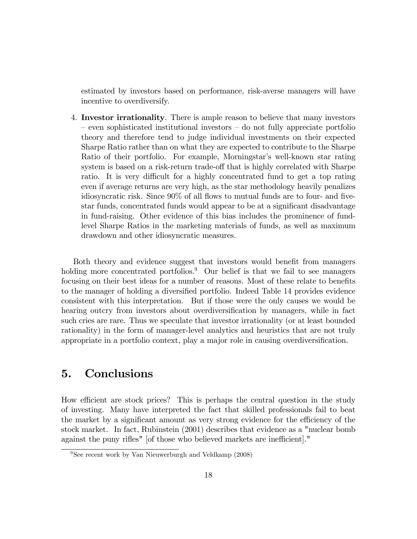estimated by investors based on performance, risk-averse managers will have incentive to overdiversify.

4. Investor irrationality. There is ample reason to believe that many investors – even sophisticated institutional investors – do not fully appreciate portfolio theory and therefore tend to judge individual investments on their expected Sharpe Ratio rather than on what they are expected to contribute to the Sharpe Ratio of their portfolio. For example, Morningstar's well-known star rating system is based on a risk-return trade-off that is highly correlated with Sharpe ratio. It is very difficult for a highly concentrated fund to get a top rating even if average returns are very high, as the star methodology heavily penalizes idiosyncratic risk. Since  $90\%$  of all flows to mutual funds are to four- and fivestar funds, concentrated funds would appear to be at a significant disadvantage in fund-raising. Other evidence of this bias includes the prominence of fundlevel Sharpe Ratios in the marketing materials of funds, as well as maximum drawdown and other idiosyncratic measures.

Both theory and evidence suggest that investors would benefit from managers holding more concentrated portfolios.<sup>9</sup> Our belief is that we fail to see managers focusing on their best ideas for a number of reasons. Most of these relate to benefits to the manager of holding a diversified portfolio. Indeed Table 14 provides evidence consistent with this interpretation. But if those were the only causes we would be hearing outcry from investors about overdiversification by managers, while in fact such cries are rare. Thus we speculate that investor irrationality (or at least bounded rationality) in the form of manager-level analytics and heuristics that are not truly appropriate in a portfolio context, play a major role in causing overdiversification.

# 5. Conclusions

How efficient are stock prices? This is perhaps the central question in the study of investing. Many have interpreted the fact that skilled professionals fail to beat the market by a significant amount as very strong evidence for the efficiency of the stock market. In fact, Rubinstein (2001) describes that evidence as a "nuclear bomb against the puny rifles" [of those who believed markets are inefficient]."

<sup>&</sup>lt;sup>9</sup>See recent work by Van Nieuwerburgh and Veldkamp  $(2008)$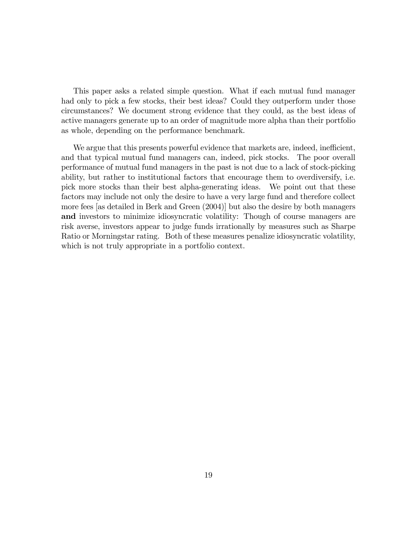This paper asks a related simple question. What if each mutual fund manager had only to pick a few stocks, their best ideas? Could they outperform under those circumstances? We document strong evidence that they could, as the best ideas of active managers generate up to an order of magnitude more alpha than their portfolio as whole, depending on the performance benchmark.

We argue that this presents powerful evidence that markets are, indeed, inefficient, and that typical mutual fund managers can, indeed, pick stocks. The poor overall performance of mutual fund managers in the past is not due to a lack of stock-picking ability, but rather to institutional factors that encourage them to overdiversify, i.e. pick more stocks than their best alpha-generating ideas. We point out that these factors may include not only the desire to have a very large fund and therefore collect more fees [as detailed in Berk and Green (2004)] but also the desire by both managers and investors to minimize idiosyncratic volatility: Though of course managers are risk averse, investors appear to judge funds irrationally by measures such as Sharpe Ratio or Morningstar rating. Both of these measures penalize idiosyncratic volatility, which is not truly appropriate in a portfolio context.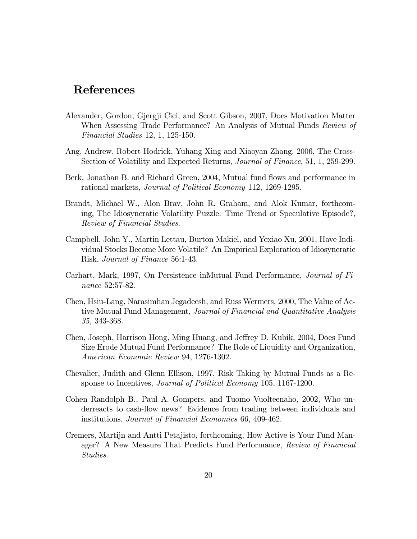# References

- Alexander, Gordon, Gjergji Cici, and Scott Gibson, 2007, Does Motivation Matter When Assessing Trade Performance? An Analysis of Mutual Funds Review of Financial Studies 12, 1, 125-150.
- Ang, Andrew, Robert Hodrick, Yuhang Xing and Xiaoyan Zhang, 2006, The Cross-Section of Volatility and Expected Returns, Journal of Finance, 51, 1, 259-299.
- Berk, Jonathan B. and Richard Green, 2004, Mutual fund flows and performance in rational markets, Journal of Political Economy 112, 1269-1295.
- Brandt, Michael W., Alon Brav, John R. Graham, and Alok Kumar, forthcoming, The Idiosyncratic Volatility Puzzle: Time Trend or Speculative Episode?, Review of Financial Studies.
- Campbell, John Y., Martin Lettau, Burton Makiel, and Yexiao Xu, 2001, Have Individual Stocks Become More Volatile? An Empirical Exploration of Idiosyncratic Risk, Journal of Finance 56:1-43.
- Carhart, Mark, 1997, On Persistence inMutual Fund Performance, Journal of Finance 52:57-82.
- Chen, Hsiu-Lang, Narasimhan Jegadeesh, and Russ Wermers, 2000, The Value of Active Mutual Fund Management, Journal of Financial and Quantitative Analysis 35, 343-368.
- Chen, Joseph, Harrison Hong, Ming Huang, and Jeffrey D. Kubik, 2004, Does Fund Size Erode Mutual Fund Performance? The Role of Liquidity and Organization, American Economic Review 94, 1276-1302.
- Chevalier, Judith and Glenn Ellison, 1997, Risk Taking by Mutual Funds as a Response to Incentives, Journal of Political Economy 105, 1167-1200.
- Cohen Randolph B., Paul A. Gompers, and Tuomo Vuolteenaho, 2002, Who underreacts to cash-flow news? Evidence from trading between individuals and institutions, Journal of Financial Economics 66, 409-462.
- Cremers, Martijn and Antti Petajisto, forthcoming, How Active is Your Fund Manager? A New Measure That Predicts Fund Performance, Review of Financial Studies.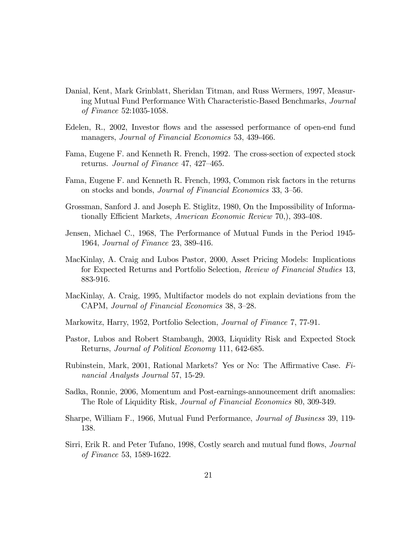- Danial, Kent, Mark Grinblatt, Sheridan Titman, and Russ Wermers, 1997, Measuring Mutual Fund Performance With Characteristic-Based Benchmarks, Journal of Finance 52:1035-1058.
- Edelen, R., 2002, Investor flows and the assessed performance of open-end fund managers, Journal of Financial Economics 53, 439-466.
- Fama, Eugene F. and Kenneth R. French, 1992. The cross-section of expected stock returns. Journal of Finance 47, 427–465.
- Fama, Eugene F. and Kenneth R. French, 1993, Common risk factors in the returns on stocks and bonds, *Journal of Financial Economics* 33, 3–56.
- Grossman, Sanford J. and Joseph E. Stiglitz, 1980, On the Impossibility of Informationally Efficient Markets, American Economic Review 70, 393-408.
- Jensen, Michael C., 1968, The Performance of Mutual Funds in the Period 1945- 1964, Journal of Finance 23, 389-416.
- MacKinlay, A. Craig and Lubos Pastor, 2000, Asset Pricing Models: Implications for Expected Returns and Portfolio Selection, Review of Financial Studies 13, 883-916.
- MacKinlay, A. Craig, 1995, Multifactor models do not explain deviations from the CAPM, Journal of Financial Economics 38, 3-28.
- Markowitz, Harry, 1952, Portfolio Selection, Journal of Finance 7, 77-91.
- Pastor, Lubos and Robert Stambaugh, 2003, Liquidity Risk and Expected Stock Returns, Journal of Political Economy 111, 642-685.
- Rubinstein, Mark, 2001, Rational Markets? Yes or No: The Affirmative Case.  $Fi$ nancial Analysts Journal 57, 15-29.
- Sadka, Ronnie, 2006, Momentum and Post-earnings-announcement drift anomalies: The Role of Liquidity Risk, Journal of Financial Economics 80, 309-349.
- Sharpe, William F., 1966, Mutual Fund Performance, *Journal of Business* 39, 119-138.
- Sirri, Erik R. and Peter Tufano, 1998, Costly search and mutual fund flows, *Journal* of Finance 53, 1589-1622.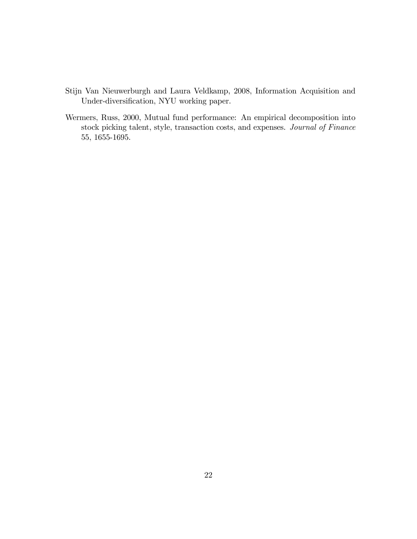- Stijn Van Nieuwerburgh and Laura Veldkamp, 2008, Information Acquisition and Under-diversification, NYU working paper.
- Wermers, Russ, 2000, Mutual fund performance: An empirical decomposition into stock picking talent, style, transaction costs, and expenses. Journal of Finance 55, 1655-1695.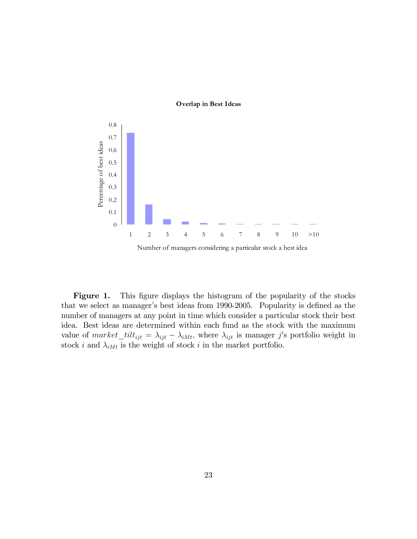#### **Overlap in Best Ideas**



Figure 1. This figure displays the histogram of the popularity of the stocks that we select as manager's best ideas from 1990-2005. Popularity is defined as the number of managers at any point in time which consider a particular stock their best idea. Best ideas are determined within each fund as the stock with the maximum value of  $market\_tilt_{ijt} = \lambda_{ijt} - \lambda_{iMt}$ , where  $\lambda_{ijt}$  is manager j's portfolio weight in stock i and  $\lambda_{iMt}$  is the weight of stock i in the market portfolio.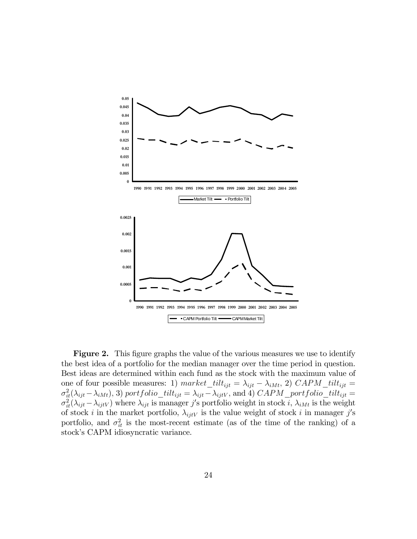

**Figure 2.** This figure graphs the value of the various measures we use to identify the best idea of a portfolio for the median manager over the time period in question. Best ideas are determined within each fund as the stock with the maximum value of one of four possible measures: 1) market\_tilt<sub>ijt</sub> =  $\lambda_{ijt} - \lambda_{iMt}$ , 2) CAPM\_tilt<sub>ijt</sub> =  $\sigma_{it}^2(\lambda_{ijt}-\lambda_{iMt}),$  3) portfolio\_tilt<sub>ijt</sub> =  $\lambda_{ijt}-\lambda_{ijtV}$ , and 4)  $CAPM\_portfolio\_tilt_{ijt}$  =  $\sigma_{it}^2(\lambda_{ijt}-\lambda_{ijtV})$  where  $\lambda_{ijt}$  is manager j's portfolio weight in stock i,  $\lambda_{iMt}$  is the weight of stock *i* in the market portfolio,  $\lambda_{ijtV}$  is the value weight of stock *i* in manager j's portfolio, and  $\sigma_{it}^2$  is the most-recent estimate (as of the time of the ranking) of a stock's CAPM idiosyncratic variance.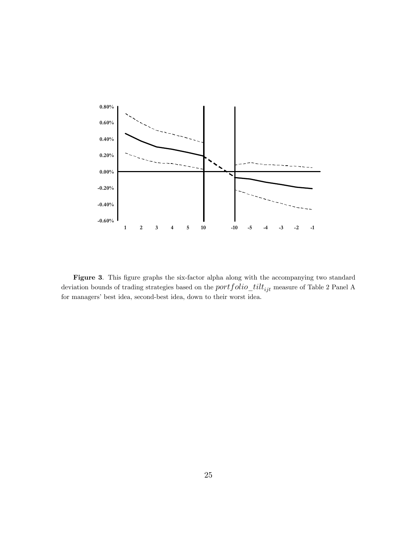

Figure 3. This figure graphs the six-factor alpha along with the accompanying two standard deviation bounds of trading strategies based on the  $portfolio\_tilt_{ijt}$  measure of Table 2 Panel A for managers' best idea, second-best idea, down to their worst idea.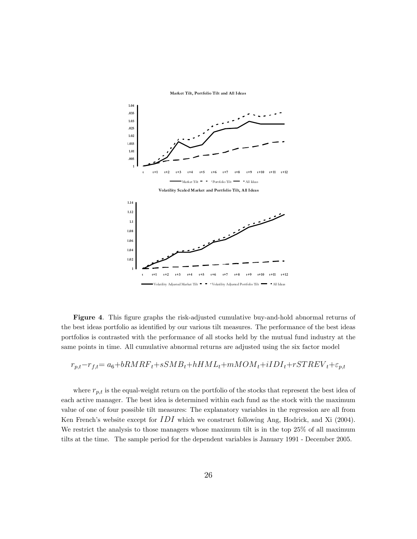

**Market Tilt, Portfolio Tilt and All Ideas**

Figure 4. This figure graphs the risk-adjusted cumulative buy-and-hold abnormal returns of the best ideas portfolio as identified by our various tilt measures. The performance of the best ideas portfolios is contrasted with the performance of all stocks held by the mutual fund industry at the same points in time. All cumulative abnormal returns are adjusted using the six factor model

$$
r_{p,t} - r_{f,t} = a_6 + bRMRF_t + sSMB_t + hHML_t + mMOM_t + iIDI_t + rSTREV_t + \varepsilon_{p,t}
$$

where  $r_{p,t}$  is the equal-weight return on the portfolio of the stocks that represent the best idea of each active manager. The best idea is determined within each fund as the stock with the maximum value of one of four possible tilt measures: The explanatory variables in the regression are all from Ken French's website except for  $IDI$  which we construct following Ang, Hodrick, and Xi (2004). We restrict the analysis to those managers whose maximum tilt is in the top 25% of all maximum tilts at the time. The sample period for the dependent variables is January 1991 - December 2005.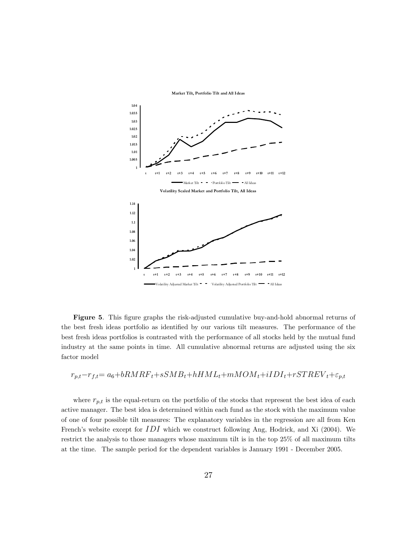

**Market Tilt, Portfolio Tilt and All Ideas**

Figure 5. This figure graphs the risk-adjusted cumulative buy-and-hold abnormal returns of the best fresh ideas portfolio as identified by our various tilt measures. The performance of the best fresh ideas portfolios is contrasted with the performance of all stocks held by the mutual fund industry at the same points in time. All cumulative abnormal returns are adjusted using the six factor model

$$
r_{p,t} - r_{f,t} = a_6 + bRMRF_t + sSMB_t + hHML_t + mMOM_t + iIDI_t + rSTREV_t + \varepsilon_{p,t}
$$

where  $r_{p,t}$  is the equal-return on the portfolio of the stocks that represent the best idea of each active manager. The best idea is determined within each fund as the stock with the maximum value of one of four possible tilt measures: The explanatory variables in the regression are all from Ken French's website except for  $IDI$  which we construct following Ang, Hodrick, and Xi (2004). We restrict the analysis to those managers whose maximum tilt is in the top 25% of all maximum tilts at the time. The sample period for the dependent variables is January 1991 - December 2005.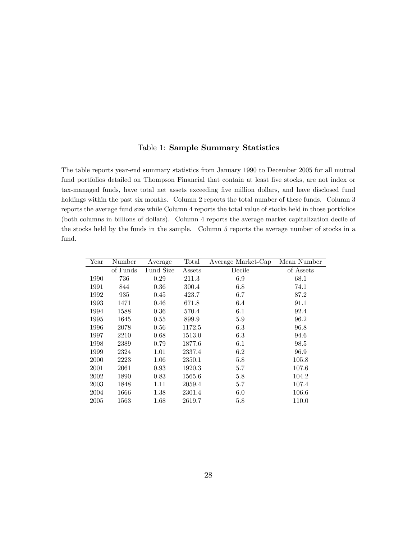### Table 1: Sample Summary Statistics

The table reports year-end summary statistics from January 1990 to December 2005 for all mutual fund portfolios detailed on Thompson Financial that contain at least five stocks, are not index or tax-managed funds, have total net assets exceeding Öve million dollars, and have disclosed fund holdings within the past six months. Column 2 reports the total number of these funds. Column 3 reports the average fund size while Column 4 reports the total value of stocks held in those portfolios (both columns in billions of dollars). Column 4 reports the average market capitalization decile of the stocks held by the funds in the sample. Column 5 reports the average number of stocks in a fund.

| Year | Number   | Average   | Total  | Average Market-Cap | Mean Number |
|------|----------|-----------|--------|--------------------|-------------|
|      | of Funds | Fund Size | Assets | Decile             | of Assets   |
| 1990 | 736      | 0.29      | 211.3  | 6.9                | 68.1        |
| 1991 | 844      | 0.36      | 300.4  | 6.8                | 74.1        |
| 1992 | 935      | 0.45      | 423.7  | 6.7                | 87.2        |
| 1993 | 1471     | 0.46      | 671.8  | 6.4                | 91.1        |
| 1994 | 1588     | 0.36      | 570.4  | 6.1                | 92.4        |
| 1995 | 1645     | 0.55      | 899.9  | 5.9                | 96.2        |
| 1996 | 2078     | 0.56      | 1172.5 | 6.3                | 96.8        |
| 1997 | 2210     | 0.68      | 1513.0 | 6.3                | 94.6        |
| 1998 | 2389     | 0.79      | 1877.6 | 6.1                | 98.5        |
| 1999 | 2324     | 1.01      | 2337.4 | 6.2                | 96.9        |
| 2000 | 2223     | 1.06      | 2350.1 | 5.8                | 105.8       |
| 2001 | 2061     | 0.93      | 1920.3 | 5.7                | 107.6       |
| 2002 | 1890     | 0.83      | 1565.6 | 5.8                | 104.2       |
| 2003 | 1848     | 1.11      | 2059.4 | 5.7                | 107.4       |
| 2004 | 1666     | 1.38      | 2301.4 | 6.0                | 106.6       |
| 2005 | 1563     | 1.68      | 2619.7 | 5.8                | 110.0       |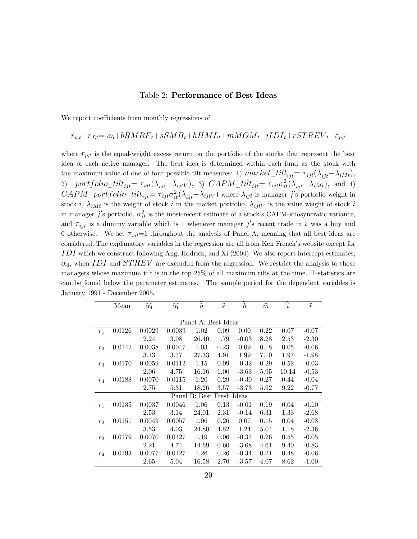#### Table 2: Performance of Best Ideas

We report coefficients from monthly regressions of

# $r_{p,t}-r_{f,t}= a_6+bRMRF_t+sSMB_t+hHML_t+mMOM_t+iIDI_t+rSTREV_t+\varepsilon_{p,t}$

where  $r_{p,t}$  is the equal-weight excess return on the portfolio of the stocks that represent the best idea of each active manager. The best idea is determined within each fund as the stock with the maximum value of one of four possible tilt measures: 1)  $market\_tilt_{ijt} = \tau_{ijt}(\lambda_{ijt}-\lambda_{iMt}),$ 2) portfolio\_tilt<sub>ijt</sub>=  $\tau_{ijt}(\lambda_{ijt}-\lambda_{ijtV})$ , 3)  $CAPM\_tilt_{ijt} = \tau_{ijt}\sigma_{it}^2(\lambda_{ijt}-\lambda_{iMt})$ , and 4)  $CAPM\_portfolio\_tilt_{ijt} = \tau_{ijt}\sigma_{it}^2(\lambda_{ijt}-\lambda_{ijtV})$  where  $\lambda_{ijt}$  is manager j's portfolio weight in stock i,  $\lambda_{iMt}$  is the weight of stock i in the market portfolio,  $\lambda_{ijtV}$  is the value weight of stock i in manager  $j'$ s portfolio,  $\sigma_{it}^2$  is the most-recent estimate of a stock's CAPM-idiosyncratic variance, and  $\tau_{ijt}$  is a dummy variable which is 1 whenever manager j's recent trade in i was a buy and 0 otherwise. We set  $\tau_{ij}=1$  throughout the analysis of Panel A, meaning that all best ideas are considered. The explanatory variables in the regression are all from Ken French's website except for  $IDI$  which we construct following Ang, Hodrick, and Xi (2004). We also report intercept estimates,  $\alpha_4$ , when IDI and STREV are excluded from the regression. We restrict the analysis to those managers whose maximum tilt is in the top 25% of all maximum tilts at the time. T-statistics are can be found below the parameter estimates. The sample period for the dependent variables is January 1991 - December 2005.

|                | Mean                | $\widehat{\alpha_4}$ | $\widehat{\alpha_6}$ | $\boldsymbol{b}$          | $\widehat{s}$ | $\boldsymbol{h}$ | $\widehat{m}$ | i     | $\widehat{r}$ |  |  |  |  |
|----------------|---------------------|----------------------|----------------------|---------------------------|---------------|------------------|---------------|-------|---------------|--|--|--|--|
|                |                     |                      |                      |                           |               |                  |               |       |               |  |  |  |  |
|                | Panel A: Best Ideas |                      |                      |                           |               |                  |               |       |               |  |  |  |  |
| $r_1$          | 0.0126              | 0.0029               | 0.0039               | 1.02                      | 0.09          | 0.00             | 0.22          | 0.07  | $-0.07$       |  |  |  |  |
|                |                     | 2.24                 | 3.08                 | 26.40                     | 1.79          | $-0.03$          | 8.28          | 2.53  | $-2.30$       |  |  |  |  |
| r <sub>2</sub> | 0.0142              | 0.0038               | 0.0047               | 1.03                      | 0.23          | 0.09             | 0.18          | 0.05  | $-0.06$       |  |  |  |  |
|                |                     | 3.13                 | 3.77                 | 27.33                     | 4.91          | 1.99             | 7.10          | 1.97  | $-1.98$       |  |  |  |  |
| $r_3$          | 0.0170              | 0.0059               | 0.0112               | 1.15                      | 0.09          | $-0.32$          | 0.29          | 0.52  | $-0.03$       |  |  |  |  |
|                |                     | 2.06                 | 4.75                 | 16.16                     | 1.00          | $-3.63$          | 5.95          | 10.14 | $-0.53$       |  |  |  |  |
| $r_4$          | 0.0188              | 0.0070               | 0.0115               | 1.20                      | 0.29          | $-0.30$          | 0.27          | 0.44  | $-0.04$       |  |  |  |  |
|                |                     | 2.75                 | 5.31                 | 18.26                     | 3.57          | $-3.73$          | 5.92          | 9.22  | $-0.77$       |  |  |  |  |
|                |                     |                      |                      | Panel B: Best Fresh Ideas |               |                  |               |       |               |  |  |  |  |
| $r_1$          | 0.0135              | 0.0037               | 0.0046               | 1.06                      | 0.13          | $-0.01$          | 0.19          | 0.04  | $-0.10$       |  |  |  |  |
|                |                     | 2.53                 | 3.14                 | 24.01                     | 2.31          | $-0.14$          | 6.31          | 1.33  | $-2.68$       |  |  |  |  |
| r <sub>2</sub> | 0.0151              | 0.0049               | 0.0057               | 1.06                      | 0.26          | 0.07             | 0.15          | 0.04  | $-0.08$       |  |  |  |  |
|                |                     | $3.53\,$             | 4.03                 | 24.80                     | 4.82          | 1.24             | 5.04          | 1.18  | $-2.36$       |  |  |  |  |
| $r_3$          | 0.0179              | 0.0070               | 0.0127               | 1.19                      | 0.06          | $-0.37$          | 0.26          | 0.55  | $-0.05$       |  |  |  |  |
|                |                     | 2.21                 | 4.74                 | 14.69                     | 0.60          | $-3.68$          | 4.61          | 9.40  | $-0.83$       |  |  |  |  |
| $r_4$          | 0.0193              | 0.0077               | 0.0127               | 1.26                      | 0.26          | $-0.34$          | 0.21          | 0.48  | $-0.06$       |  |  |  |  |
|                |                     | 2.65                 | 5.04                 | 16.58                     | 2.70          | $-3.57$          | 4.07          | 8.62  | $-1.00$       |  |  |  |  |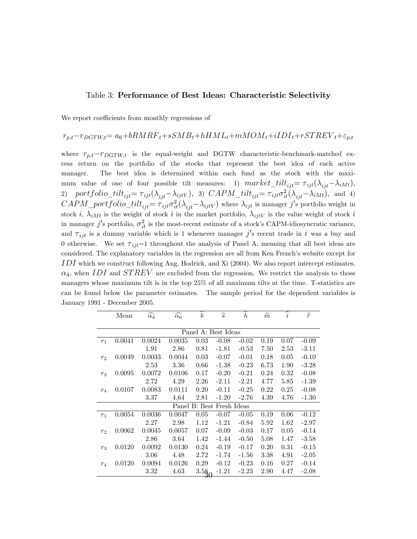#### Table 3: Performance of Best Ideas: Characteristic Selectivity

We report coefficients from monthly regressions of

### $r_{p,t}-r_{DGTW,t}= a_6+bRMRF_t+sSMB_t+hHML_t+mMOM_t+iIDI_t+rSTREV_t+\varepsilon_{p,t}$

where  $r_{p,t}-r_{DGTW,t}$  is the equal-weight and DGTW characteristic-benchmark-matched excess return on the portfolio of the stocks that represent the best idea of each active manager. The best idea is determined within each fund as the stock with the maximum value of one of four possible tilt measures: 1)  $market\_tilt_{ijt} = \tau_{ijt}(\lambda_{ijt}-\lambda_{iMt}),$ 2) portfolio\_tilt<sub>ijt</sub>=  $\tau_{ijt}(\lambda_{ijt}-\lambda_{ijtV})$ , 3)  $CAPM\_tilt_{ijt} = \tau_{ijt}\sigma_{it}^2(\lambda_{ijt}-\lambda_{iMt})$ , and 4)  $CAPM\_portfolio\_tilt_{ijt} = \tau_{ijt}\sigma_{it}^2(\lambda_{ijt}-\lambda_{ijtV})$  where  $\lambda_{ijt}$  is manager j's portfolio weight in stock i,  $\lambda_{iMt}$  is the weight of stock i in the market portfolio,  $\lambda_{iitV}$  is the value weight of stock i in manager  $j'$ s portfolio,  $\sigma_{it}^2$  is the most-recent estimate of a stock's CAPM-idiosyncratic variance, and  $\tau_{ijt}$  is a dummy variable which is 1 whenever manager j's recent trade in i was a buy and 0 otherwise. We set  $\tau_{ijt}=1$  throughout the analysis of Panel A, meaning that all best ideas are considered. The explanatory variables in the regression are all from Ken French's website except for IDI which we construct following Ang, Hodrick, and Xi (2004). We also report intercept estimates,  $\alpha_4$ , when IDI and STREV are excluded from the regression. We restrict the analysis to those managers whose maximum tilt is in the top 25% of all maximum tilts at the time. T-statistics are can be found below the parameter estimates. The sample period for the dependent variables is January 1991 - December 2005.

|                | Mean   | $\widehat{\alpha_4}$ | $\widehat{\alpha_6}$ | $\boldsymbol{b}$ | $\widehat{s}$             | $\boldsymbol{h}$ | $\widehat{m}$ | $\widehat{i}$ | $\widehat{r}$ |
|----------------|--------|----------------------|----------------------|------------------|---------------------------|------------------|---------------|---------------|---------------|
|                |        |                      |                      |                  |                           |                  |               |               |               |
|                |        |                      |                      |                  | Panel A: Best Ideas       |                  |               |               |               |
| $r_1$          | 0.0041 | 0.0024               | 0.0035               | 0.03             | $-0.08$                   | $-0.02$          | 0.19          | 0.07          | $-0.09$       |
|                |        | 1.91                 | 2.86                 | 0.81             | $-1.81$                   | $-0.53$          | 7.50          | 2.53          | $-3.11$       |
| r <sub>2</sub> | 0.0049 | 0.0033               | 0.0044               | 0.03             | $-0.07$                   | $-0.01$          | 0.18          | 0.05          | $-0.10$       |
|                |        | 2.53                 | 3.36                 | 0.66             | $-1.38$                   | $-0.23$          | 6.73          | 1.90          | $-3.28$       |
| $r_3$          | 0.0095 | 0.0072               | 0.0106               | 0.17             | $-0.20$                   | $-0.21$          | 0.24          | 0.32          | $-0.08$       |
|                |        | 2.72                 | 4.29                 | 2.26             | $-2.11$                   | $-2.21$          | 4.77          | 5.85          | $-1.39$       |
| $r_4$          | 0.0107 | 0.0083               | 0.0111               | 0.20             | $-0.11$                   | $-0.25$          | 0.22          | 0.25          | $-0.08$       |
|                |        | 3.37                 | 4.64                 | 2.81             | $-1.20$                   | $-2.76$          | 4.39          | 4.76          | $-1.30$       |
|                |        |                      |                      |                  | Panel B: Best Fresh Ideas |                  |               |               |               |
| $r_1$          | 0.0054 | 0.0036               | 0.0047               | 0.05             | $-0.07$                   | $-0.05$          | 0.19          | 0.06          | $-0.12$       |
|                |        | 2.27                 | 2.98                 | 1.12             | $-1.21$                   | $-0.84$          | 5.92          | 1.62          | $-2.97$       |
| r <sub>2</sub> | 0.0062 | 0.0045               | 0.0057               | 0.07             | $-0.09$                   | $-0.03$          | 0.17          | 0.05          | $-0.14$       |
|                |        | 2.86                 | 3.64                 | 1.42             | $-1.44$                   | $-0.50$          | 5.08          | 1.47          | $-3.58$       |
| $r_3$          | 0.0120 | 0.0092               | 0.0130               | 0.24             | $-0.19$                   | $-0.17$          | 0.20          | 0.31          | $-0.15$       |
|                |        | 3.06                 | 4.48                 | 2.72             | $-1.74$                   | $-1.56$          | 3.38          | 4.91          | $-2.05$       |
| $r_4$          | 0.0120 | 0.0094               | 0.0126               | 0.29             | $-0.12$                   | $-0.23$          | 0.16          | 0.27          | $-0.14$       |
|                |        | 3.32                 | 4.63                 | 3.58<br>₹        | $-1.21$                   | $-2.23$          | 2.90          | 4.47          | $-2.08$       |
|                |        |                      |                      |                  |                           |                  |               |               |               |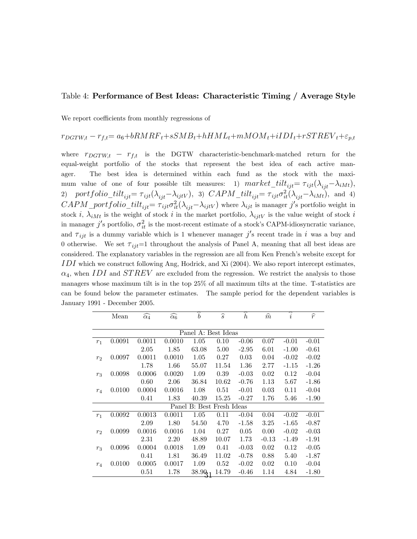#### Table 4: Performance of Best Ideas: Characteristic Timing / Average Style

We report coefficients from monthly regressions of

### $r_{DGTW,t} - r_{f,t} = a_6 + bRMRF_t + sSMB_t + hHML_t + mMOM_t + iIDI_t + rSTREV_t + \varepsilon_{p,t}$

where  $r_{DGTW,t} - r_{f,t}$  is the DGTW characteristic-benchmark-matched return for the equal-weight portfolio of the stocks that represent the best idea of each active manager. The best idea is determined within each fund as the stock with the maximum value of one of four possible tilt measures: 1)  $market\_tilt_{ijt} = \tau_{ijt}(\lambda_{ijt}-\lambda_{iMt}),$ 2) portfolio\_tilt<sub>ijt</sub>=  $\tau_{ijt}(\lambda_{ijt}-\lambda_{ijtV})$ , 3)  $CAPM\_tilt_{ijt} = \tau_{ijt}\sigma_{it}^2(\lambda_{ijt}-\lambda_{iMt})$ , and 4)  $CAPM\_portfolio\_tilt_{ijt} = \tau_{ijt}\sigma_{it}^2(\lambda_{ijt}-\lambda_{ijtV})$  where  $\lambda_{ijt}$  is manager j's portfolio weight in stock i,  $\lambda_{iMt}$  is the weight of stock i in the market portfolio,  $\lambda_{ijtV}$  is the value weight of stock i in manager  $j'$ s portfolio,  $\sigma_{it}^2$  is the most-recent estimate of a stock's CAPM-idiosyncratic variance, and  $\tau_{ijt}$  is a dummy variable which is 1 whenever manager j's recent trade in i was a buy and 0 otherwise. We set  $\tau_{ij}=1$  throughout the analysis of Panel A, meaning that all best ideas are considered. The explanatory variables in the regression are all from Ken French's website except for IDI which we construct following Ang, Hodrick, and Xi (2004). We also report intercept estimates,  $\alpha_4$ , when IDI and STREV are excluded from the regression. We restrict the analysis to those managers whose maximum tilt is in the top 25% of all maximum tilts at the time. T-statistics are can be found below the parameter estimates. The sample period for the dependent variables is January 1991 - December 2005.

|                | Mean                | $\widehat{\alpha_4}$ | $\widehat{\alpha_6}$ | $\boldsymbol{b}$          | $\widehat{s}$ | ≂<br>$\boldsymbol{h}$ | $\widehat{m}$ | $\widehat{i}$ | $\widehat{r}$ |  |  |  |  |
|----------------|---------------------|----------------------|----------------------|---------------------------|---------------|-----------------------|---------------|---------------|---------------|--|--|--|--|
|                |                     |                      |                      |                           |               |                       |               |               |               |  |  |  |  |
|                | Panel A: Best Ideas |                      |                      |                           |               |                       |               |               |               |  |  |  |  |
| $r_1$          | 0.0091              | 0.0011               | 0.0010               | 1.05                      | 0.10          | $-0.06$               | 0.07          | $-0.01$       | $-0.01$       |  |  |  |  |
|                |                     | 2.05                 | 1.85                 | 63.08                     | 5.00          | $-2.95$               | 6.01          | $-1.00$       | $-0.61$       |  |  |  |  |
| r <sub>2</sub> | 0.0097              | 0.0011               | 0.0010               | 1.05                      | 0.27          | 0.03                  | 0.04          | $-0.02$       | $-0.02$       |  |  |  |  |
|                |                     | 1.78                 | 1.66                 | 55.07                     | 11.54         | 1.36                  | 2.77          | $-1.15$       | $-1.26$       |  |  |  |  |
| $r_3$          | 0.0098              | 0.0006               | 0.0020               | 1.09                      | 0.39          | $-0.03$               | 0.02          | 0.12          | $-0.04$       |  |  |  |  |
|                |                     | 0.60                 | 2.06                 | 36.84                     | 10.62         | $-0.76$               | 1.13          | 5.67          | $-1.86$       |  |  |  |  |
| $r_4$          | 0.0100              | 0.0004               | 0.0016               | 1.08                      | 0.51          | $-0.01$               | 0.03          | 0.11          | $-0.04$       |  |  |  |  |
|                |                     | 0.41                 | 1.83                 | 40.39                     | 15.25         | $-0.27$               | 1.76          | 5.46          | $-1.90$       |  |  |  |  |
|                |                     |                      |                      | Panel B: Best Fresh Ideas |               |                       |               |               |               |  |  |  |  |
| $r_1$          | 0.0092              | 0.0013               | 0.0011               | 1.05                      | 0.11          | $-0.04$               | 0.04          | $-0.02$       | $-0.01$       |  |  |  |  |
|                |                     | 2.09                 | 1.80                 | 54.50                     | 4.70          | $-1.58$               | 3.25          | $-1.65$       | $-0.87$       |  |  |  |  |
| r <sub>2</sub> | 0.0099              | 0.0016               | 0.0016               | 1.04                      | 0.27          | 0.05                  | 0.00          | $-0.02$       | $-0.03$       |  |  |  |  |
|                |                     | 2.31                 | 2.20                 | 48.89                     | 10.07         | 1.73                  | $-0.13$       | $-1.49$       | $-1.91$       |  |  |  |  |
| $r_3$          | 0.0096              | 0.0004               | 0.0018               | 1.09                      | 0.41          | $-0.03$               | 0.02          | 0.12          | $-0.05$       |  |  |  |  |
|                |                     | 0.41                 | 1.81                 | 36.49                     | 11.02         | $-0.78$               | 0.88          | 5.40          | $-1.87$       |  |  |  |  |
| $r_4$          | 0.0100              | 0.0005               | 0.0017               | 1.09                      | 0.52          | $-0.02$               | 0.02          | 0.10          | $-0.04$       |  |  |  |  |
|                |                     | 0.51                 | 1.78                 | 38.90                     | 14.79         | $-0.46$               | 1.14          | 4.84          | $-1.80$       |  |  |  |  |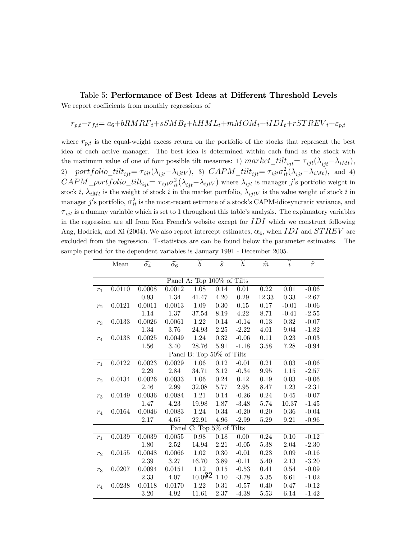Table 5: Performance of Best Ideas at Different Threshold Levels

We report coefficients from monthly regressions of

$$
r_{p,t} - r_{f,t} = a_6 + bRMRF_t + sSMB_t + hHML_t + mMOM_t + iIDI_t + rSTREV_t + \varepsilon_{p,t}
$$

where  $r_{p,t}$  is the equal-weight excess return on the portfolio of the stocks that represent the best idea of each active manager. The best idea is determined within each fund as the stock with the maximum value of one of four possible tilt measures: 1)  $market\_tilt_{ijt} = \tau_{ijt}(\lambda_{ijt}-\lambda_{iMt}),$ 2) portfolio\_tilt<sub>ijt</sub>=  $\tau_{ijt}(\lambda_{ijt}-\lambda_{ijtV})$ , 3)  $CAPM\_tilt_{ijt} = \tau_{ijt}\sigma_{it}^2(\lambda_{ijt}-\lambda_{iMt})$ , and 4)  $CAPM\_portfolio\_tilt_{ijt} = \tau_{ijt}\sigma_{it}^2(\lambda_{ijt}-\lambda_{ijtV})$  where  $\lambda_{ijt}$  is manager j's portfolio weight in stock i,  $\lambda_{iMt}$  is the weight of stock i in the market portfolio,  $\lambda_{ijtV}$  is the value weight of stock i in manager  $j'$ s portfolio,  $\sigma_{it}^2$  is the most-recent estimate of a stock's CAPM-idiosyncratic variance, and  $\tau_{ijt}$  is a dummy variable which is set to 1 throughout this table's analysis. The explanatory variables in the regression are all from Ken French's website except for  $IDI$  which we construct following Ang, Hodrick, and Xi (2004). We also report intercept estimates,  $\alpha_4$ , when IDI and STREV are excluded from the regression. T-statistics are can be found below the parameter estimates. The sample period for the dependent variables is January 1991 - December 2005.

|                | Mean   | $\widehat{\alpha_4}$ | $\widehat{\alpha_6}$ | $\hat{b}$                                | $\widehat{s}$ | $\overline{h}$    | $\widehat{m}$ | $\widehat{i}$ | $\widehat{r}$ |
|----------------|--------|----------------------|----------------------|------------------------------------------|---------------|-------------------|---------------|---------------|---------------|
|                |        |                      |                      |                                          |               |                   |               |               |               |
|                |        |                      |                      | Panel $\overline{A}$ : Top 100% of Tilts |               |                   |               |               |               |
| $r_1$          | 0.0110 | 0.0008               | 0.0012               | 1.08                                     | 0.14          | $\overline{0.01}$ | 0.22          | 0.01          | $-0.06$       |
|                |        | 0.93                 | 1.34                 | 41.47                                    | $4.20\,$      | 0.29              | 12.33         | 0.33          | $-2.67$       |
| r <sub>2</sub> | 0.0121 | 0.0011               | 0.0013               | 1.09                                     | 0.30          | $0.15\,$          | 0.17          | $-0.01$       | $-0.06$       |
|                |        | 1.14                 | 1.37                 | 37.54                                    | 8.19          | 4.22              | 8.71          | $-0.41$       | $-2.55$       |
| $r_3$          | 0.0133 | 0.0026               | 0.0061               | 1.22                                     | $0.14\,$      | $-0.14$           | 0.13          | $0.32\,$      | $-0.07$       |
|                |        | 1.34                 | 3.76                 | 24.93                                    | $2.25\,$      | $-2.22$           | $4.01\,$      | $9.04\,$      | $-1.82$       |
| $r_4$          | 0.0138 | 0.0025               | 0.0049               | $1.24\,$                                 | $0.32\,$      | $-0.06$           | $0.11\,$      | 0.23          | $-0.03$       |
|                |        | 1.56                 | 3.40                 | 28.76                                    | $5.91\,$      | $-1.18$           | 3.58          | 7.28          | $-0.94$       |
|                |        |                      |                      | Panel B: Top 50% of Tilts                |               |                   |               |               |               |
| $r_1$          | 0.0122 | 0.0023               | 0.0029               | 1.06                                     | 0.12          | $-0.01$           | 0.21          | $0.03\,$      | $-0.06$       |
|                |        | 2.29                 | 2.84                 | 34.71                                    | $3.12\,$      | $-0.34$           | 9.95          | $1.15\,$      | $-2.57$       |
| r <sub>2</sub> | 0.0134 | 0.0026               | 0.0033               | 1.06                                     | $0.24\,$      | 0.12              | $0.19\,$      | 0.03          | $-0.06$       |
|                |        | $2.46\,$             | $2.99\,$             | $32.08\,$                                | $5.77\,$      | 2.95              | 8.47          | $1.23\,$      | $-2.31$       |
| $r_3$          | 0.0149 | 0.0036               | 0.0084               | 1.21                                     | $0.14\,$      | $-0.26$           | 0.24          | 0.45          | $-0.07$       |
|                |        | 1.47                 | 4.23                 | 19.98                                    | 1.87          | $-3.48$           | 5.74          | 10.37         | $-1.45$       |
| $r_4$          | 0.0164 | 0.0046               | 0.0083               | 1.24                                     | $0.34\,$      | $-0.20$           | 0.20          | 0.36          | $-0.04$       |
|                |        | 2.17                 | 4.65                 | 22.91                                    | 4.96          | $-2.99$           | 5.29          | 9.21          | $-0.96$       |
|                |        |                      |                      | Panel C: Top 5% of Tilts                 |               |                   |               |               |               |
| $r_1$          | 0.0139 | 0.0039               | 0.0055               | 0.98                                     | $0.18\,$      | 0.00              | $0.24\,$      | $0.10\,$      | $-0.12$       |
|                |        | 1.80                 | 2.52                 | 14.94                                    | $2.21\,$      | $-0.05$           | $5.38\,$      | 2.04          | $-2.30$       |
| r <sub>2</sub> | 0.0155 | 0.0048               | 0.0066               | 1.02                                     | 0.30          | $-0.01$           | 0.23          | 0.09          | $-0.16$       |
|                |        | 2.39                 | $3.27\,$             | 16.70                                    | 3.89          | $-0.11$           | 5.40          | $2.13\,$      | $-3.20$       |
| $r_3$          | 0.0207 | 0.0094               | 0.0151               | 1.12                                     | $0.15\,$      | $-0.53$           | 0.41          | 0.54          | $-0.09$       |
|                |        | $2.33\,$             | 4.07                 | 10.022                                   | $1.10\,$      | $-3.78$           | $5.35\,$      | $6.61\,$      | $-1.02$       |
| $r_4$          | 0.0238 | 0.0118               | 0.0170               | $1.22\,$                                 | 0.31          | $-0.57$           | 0.40          | 0.47          | $-0.12$       |
|                |        | 3.20                 | 4.92                 | 11.61                                    | 2.37          | $-4.38$           | 5.53          | 6.14          | $-1.42$       |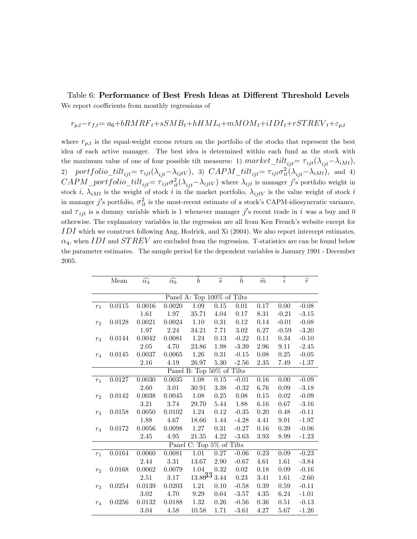Table 6: Performance of Best Fresh Ideas at Different Threshold Levels We report coefficients from monthly regressions of

$$
r_{p,t} - r_{f,t} = a_6 + bRMRF_t + sSMB_t + hHML_t + mMOM_t + iIDI_t + rSTREV_t + \varepsilon_{p,t}
$$

where  $r_{p,t}$  is the equal-weight excess return on the portfolio of the stocks that represent the best idea of each active manager. The best idea is determined within each fund as the stock with the maximum value of one of four possible tilt measures: 1)  $market\_tilt_{ijt} = \tau_{ijt}(\lambda_{ijt}-\lambda_{iMt}),$ 2) portfolio\_tilt<sub>ijt</sub>=  $\tau_{ijt}(\lambda_{ijt}-\lambda_{ijtV})$ , 3)  $CAPM\_tilt_{ijt} = \tau_{ijt}\sigma_{it}^2(\lambda_{ijt}-\lambda_{iMt})$ , and 4)  $CAPM\_portfolio\_tilt_{ijt} = \tau_{ijt}\sigma_{it}^2(\lambda_{ijt}-\lambda_{ijtV})$  where  $\lambda_{ijt}$  is manager j's portfolio weight in stock i,  $\lambda_{iMt}$  is the weight of stock i in the market portfolio,  $\lambda_{ijtV}$  is the value weight of stock i in manager  $j'$ s portfolio,  $\sigma_{it}^2$  is the most-recent estimate of a stock's CAPM-idiosyncratic variance, and  $\tau_{ijt}$  is a dummy variable which is 1 whenever manager j's recent trade in i was a buy and 0 otherwise. The explanatory variables in the regression are all from Ken French's website except for  $IDI$  which we construct following Ang, Hodrick, and Xi (2004). We also report intercept estimates,  $\alpha_4$ , when IDI and STREV are excluded from the regression. T-statistics are can be found below the parameter estimates. The sample period for the dependent variables is January 1991 - December 2005.

|                | Mean   | $\widehat{\alpha_4}$ | $\widehat{\alpha_6}$ | $\widehat{b}$              | $\widehat{s}$     | $\widehat{h}$ | $\widehat{m}$ | $\widehat{i}$ | $\widehat{r}$ |
|----------------|--------|----------------------|----------------------|----------------------------|-------------------|---------------|---------------|---------------|---------------|
|                |        |                      |                      |                            |                   |               |               |               |               |
|                |        |                      |                      | Panel A: Top 100% of Tilts |                   |               |               |               |               |
| $r_1$          | 0.0115 | 0.0016               | 0.0020               | $\overline{1.09}$          | 0.15              | 0.01          | 0.17          | 0.00          | $-0.08$       |
|                |        | 1.61                 | 1.97                 | 35.71                      | 4.04              | 0.17          | 8.31          | $-0.21$       | $-3.15$       |
| r <sub>2</sub> | 0.0128 | 0.0021               | 0.0024               | $1.10\,$                   | $0.31\,$          | 0.12          | $0.14\,$      | $-0.01$       | $-0.08$       |
|                |        | 1.97                 | 2.24                 | 34.21                      | 7.71              | 3.02          | 6.27          | $-0.59$       | $-3.20$       |
| $r_3$          | 0.0144 | 0.0042               | 0.0081               | 1.24                       | $0.13\,$          | $-0.22$       | 0.11          | 0.34          | $-0.10$       |
|                |        | 2.05                 | 4.70                 | 23.86                      | 1.98              | $-3.39$       | 2.96          | 9.11          | $-2.45$       |
| $r_4$          | 0.0145 | 0.0037               | 0.0065               | 1.26                       | $0.31\,$          | $-0.15$       | 0.08          | 0.25          | $-0.05$       |
|                |        | 2.16                 | 4.19                 | 26.97                      | 5.30              | $-2.56$       | 2.35          | 7.49          | $-1.37$       |
|                |        |                      |                      | Panel B: Top 50% of Tilts  |                   |               |               |               |               |
| $r_1$          | 0.0127 | 0.0030               | 0.0035               | 1.08                       | $\overline{0.15}$ | $-0.01$       | 0.16          | 0.00          | $-0.09$       |
|                |        | 2.60                 | 3.01                 | 30.91                      | $3.38\,$          | $-0.32$       | 6.76          | $0.09\,$      | $-3.18$       |
| r <sub>2</sub> | 0.0142 | 0.0038               | $0.0045\,$           | 1.08                       | $0.25\,$          | 0.08          | $0.15\,$      | 0.02          | $-0.09$       |
|                |        | 3.21                 | 3.74                 | 29.70                      | $5.44\,$          | 1.88          | 6.16          | 0.67          | $-3.16$       |
| $r_3$          | 0.0158 | 0.0050               | 0.0102               | 1.24                       | $0.12\,$          | $-0.35$       | 0.20          | 0.48          | $-0.11$       |
|                |        | 1.88                 | 4.67                 | 18.66                      | 1.44              | $-4.28$       | 4.41          | 9.91          | $-1.97$       |
| $r_4$          | 0.0172 | 0.0056               | 0.0098               | 1.27                       | $0.31\,$          | $-0.27$       | $0.16\,$      | 0.39          | $-0.06$       |
|                |        | 2.45                 | 4.95                 | 21.35                      | 4.22              | $-3.63$       | 3.93          | 8.99          | $-1.23$       |
|                |        |                      |                      | Panel C: Top 5% of Tilts   |                   |               |               |               |               |
| $r_1$          | 0.0164 | 0.0060               | 0.0081               | $\overline{1.01}$          | 0.27              | $-0.06$       | 0.23          | 0.09          | $-0.23$       |
|                |        | 2.44                 | 3.31                 | 13.67                      | 2.90              | $-0.67$       | 4.61          | 1.61          | $-3.84$       |
| r <sub>2</sub> | 0.0168 | 0.0062               | 0.0079               | 1.04                       | $0.32\,$          | 0.02          | 0.18          | 0.09          | $-0.16$       |
|                |        | 2.51                 | 3.17                 | $13.80^{33}$ 3.44          |                   | 0.23          | 3.41          | 1.61          | $-2.60$       |
| $r_3$          | 0.0254 | 0.0139               | 0.0203               | $1.21\,$                   | $0.10\,$          | $-0.58$       | 0.39          | 0.59          | $-0.11$       |
|                |        | 3.02                 | 4.70                 | 9.29                       | 0.64              | $-3.57$       | 4.35          | 6.24          | $-1.01$       |
| $r_4$          | 0.0256 | 0.0132               | 0.0188               | 1.32                       | $0.26\,$          | $-0.56$       | 0.36          | $0.51\,$      | $-0.13$       |
|                |        | 3.04                 | 4.58                 | 10.58                      | 1.71              | $-3.61$       | 4.27          | 5.67          | $-1.26$       |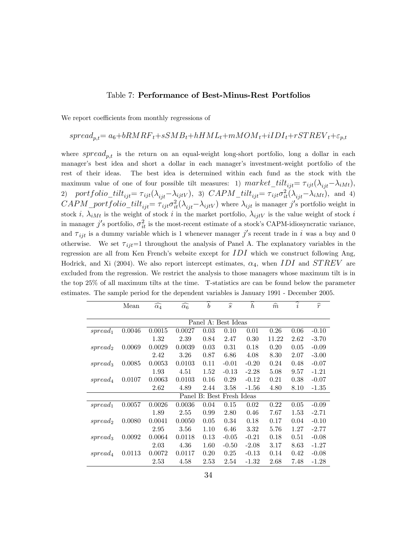#### Table 7: Performance of Best-Minus-Rest Portfolios

We report coefficients from monthly regressions of

# $spread_{p,t} = a_6 + bRMRF_t + sSMB_t + hHML_t + mMOM_t + iIDI_t + rSTREV_t + \varepsilon_{p,t}$

where  $spread_{p,t}$  is the return on an equal-weight long-short portfolio, long a dollar in each manager's best idea and short a dollar in each manager's investment-weight portfolio of the rest of their ideas. The best idea is determined within each fund as the stock with the maximum value of one of four possible tilt measures: 1)  $market\_tilt_{ijt} = \tau_{ijt}(\lambda_{ijt}-\lambda_{iMt}),$ 2) portfolio\_tilt<sub>ijt</sub>=  $\tau_{ijt}(\lambda_{ijt}-\lambda_{ijtV})$ , 3)  $CAPM\_tilt_{ijt} = \tau_{ijt}\sigma_{it}^2(\lambda_{ijt}-\lambda_{iMt})$ , and 4)  $CAPM\_portfolio\_tilt_{ijt} = \tau_{ijt}\sigma_{it}^2(\lambda_{ijt}-\lambda_{ijtV})$  where  $\lambda_{ijt}$  is manager j's portfolio weight in stock i,  $\lambda_{iMt}$  is the weight of stock i in the market portfolio,  $\lambda_{ijtV}$  is the value weight of stock i in manager  $j'$ s portfolio,  $\sigma_{it}^2$  is the most-recent estimate of a stock's CAPM-idiosyncratic variance, and  $\tau_{ijt}$  is a dummy variable which is 1 whenever manager j's recent trade in i was a buy and 0 otherwise. We set  $\tau_{ijt}=1$  throughout the analysis of Panel A. The explanatory variables in the regression are all from Ken French's website except for  $IDI$  which we construct following Ang, Hodrick, and Xi (2004). We also report intercept estimates,  $\alpha_4$ , when IDI and STREV are excluded from the regression. We restrict the analysis to those managers whose maximum tilt is in the top 25% of all maximum tilts at the time. T-statistics are can be found below the parameter estimates. The sample period for the dependent variables is January 1991 - December 2005.

|                     | Mean   | $\widehat{\alpha_4}$ | $\widehat{\alpha_6}$ | $\boldsymbol{b}$ | $\widehat{s}$             | $\boldsymbol{h}$ | $\widehat{m}$ | i    | $\widehat{r}$ |
|---------------------|--------|----------------------|----------------------|------------------|---------------------------|------------------|---------------|------|---------------|
|                     |        |                      |                      |                  |                           |                  |               |      |               |
|                     |        |                      |                      |                  | Panel A: Best Ideas       |                  |               |      |               |
| spread <sub>1</sub> | 0.0046 | 0.0015               | 0.0027               | 0.03             | 0.10                      | 0.01             | 0.26          | 0.06 | $-0.10$       |
|                     |        | 1.32                 | 2.39                 | 0.84             | 2.47                      | 0.30             | 11.22         | 2.62 | $-3.70$       |
| spread <sub>2</sub> | 0.0069 | 0.0029               | 0.0039               | 0.03             | 0.31                      | 0.18             | 0.20          | 0.05 | $-0.09$       |
|                     |        | 2.42                 | 3.26                 | 0.87             | 6.86                      | 4.08             | 8.30          | 2.07 | $-3.00$       |
| spread <sub>3</sub> | 0.0085 | 0.0053               | 0.0103               | 0.11             | $-0.01$                   | $-0.20$          | 0.24          | 0.48 | $-0.07$       |
|                     |        | 1.93                 | 4.51                 | 1.52             | $-0.13$                   | $-2.28$          | 5.08          | 9.57 | $-1.21$       |
| spread <sub>4</sub> | 0.0107 | 0.0063               | 0.0103               | 0.16             | 0.29                      | $-0.12$          | 0.21          | 0.38 | $-0.07$       |
|                     |        | 2.62                 | 4.89                 | 2.44             | 3.58                      | $-1.56$          | 4.80          | 8.10 | $-1.35$       |
|                     |        |                      |                      |                  | Panel B: Best Fresh Ideas |                  |               |      |               |
| spread <sub>1</sub> | 0.0057 | 0.0026               | 0.0036               | 0.04             | 0.15                      | 0.02             | 0.22          | 0.05 | $-0.09$       |
|                     |        | 1.89                 | 2.55                 | 0.99             | 2.80                      | 0.46             | 7.67          | 1.53 | $-2.71$       |
| spread              | 0.0080 | 0.0041               | 0.0050               | 0.05             | 0.34                      | 0.18             | 0.17          | 0.04 | $-0.10$       |
|                     |        | 2.95                 | 3.56                 | 1.10             | 6.46                      | 3.32             | 5.76          | 1.27 | $-2.77$       |
| spread <sub>3</sub> | 0.0092 | 0.0064               | 0.0118               | 0.13             | $-0.05$                   | $-0.21$          | 0.18          | 0.51 | $-0.08$       |
|                     |        | 2.03                 | 4.36                 | 1.60             | $-0.50$                   | $-2.08$          | 3.17          | 8.63 | $-1.27$       |
| spread <sub>4</sub> | 0.0113 | 0.0072               | 0.0117               | 0.20             | 0.25                      | $-0.13$          | 0.14          | 0.42 | $-0.08$       |
|                     |        | 2.53                 | 4.58                 | 2.53             | 2.54                      | $-1.32$          | 2.68          | 7.48 | $-1.28$       |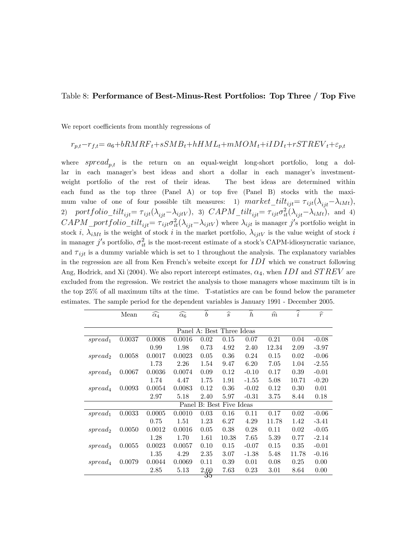#### Table 8: Performance of Best-Minus-Rest Portfolios: Top Three / Top Five

We report coefficients from monthly regressions of

### $r_{p,t}-r_{f,t}= a_6+bRMRF_t+sSMB_t+hHML_t+mMOM_t+iIDI_t+rSTREV_t+\varepsilon_{p,t}$

where  $spread_{p,t}$  is the return on an equal-weight long-short portfolio, long a dollar in each manager's best ideas and short a dollar in each manager's investmentweight portfolio of the rest of their ideas. The best ideas are determined within each fund as the top three (Panel A) or top five (Panel B) stocks with the maximum value of one of four possible tilt measures: 1)  $market\_tilt_{ijt} = \tau_{ijt}(\lambda_{ijt}-\lambda_{iMt}),$ 2) portfolio\_tilt<sub>ijt</sub>=  $\tau_{ijt}(\lambda_{ijt}-\lambda_{ijtV})$ , 3)  $CAPM\_tilt_{ijt} = \tau_{ijt}\sigma_{it}^2(\lambda_{ijt}-\lambda_{iMt})$ , and 4)  $CAPM\_portfolio\_tilt_{ijt} = \tau_{ijt}\sigma_{it}^2(\lambda_{ijt}-\lambda_{ijtV})$  where  $\lambda_{ijt}$  is manager j's portfolio weight in stock i,  $\lambda_{iMt}$  is the weight of stock i in the market portfolio,  $\lambda_{ijtV}$  is the value weight of stock i in manager  $j'$ s portfolio,  $\sigma_{it}^2$  is the most-recent estimate of a stock's CAPM-idiosyncratic variance, and  $\tau_{iit}$  is a dummy variable which is set to 1 throughout the analysis. The explanatory variables in the regression are all from Ken French's website except for  $IDI$  which we construct following Ang, Hodrick, and Xi (2004). We also report intercept estimates,  $\alpha_4$ , when IDI and STREV are excluded from the regression. We restrict the analysis to those managers whose maximum tilt is in the top 25% of all maximum tilts at the time. T-statistics are can be found below the parameter estimates. The sample period for the dependent variables is January 1991 - December 2005.

|                     | Mean   | $\widehat{\alpha_4}$ | $\widehat{\alpha_6}$ | ⌒<br>$\boldsymbol{b}$ | $\widehat{s}$             | $\widehat{\phantom{1}}$<br>$\boldsymbol{h}$ | $\widehat{m}$ | $\widehat{i}$ | $\widehat{r}$ |
|---------------------|--------|----------------------|----------------------|-----------------------|---------------------------|---------------------------------------------|---------------|---------------|---------------|
|                     |        |                      |                      |                       |                           |                                             |               |               |               |
|                     |        |                      |                      |                       | Panel A: Best Three Ideas |                                             |               |               |               |
| spread <sub>1</sub> | 0.0037 | 0.0008               | 0.0016               | 0.02                  | 0.15                      | 0.07                                        | 0.21          | 0.04          | $-0.08$       |
|                     |        | 0.99                 | 1.98                 | 0.73                  | 4.92                      | 2.40                                        | 12.34         | 2.09          | $-3.97$       |
| spread <sub>2</sub> | 0.0058 | 0.0017               | 0.0023               | 0.05                  | 0.36                      | 0.24                                        | 0.15          | 0.02          | $-0.06$       |
|                     |        | 1.73                 | 2.26                 | 1.54                  | 9.47                      | 6.20                                        | 7.05          | 1.04          | $-2.55$       |
| spread <sub>3</sub> | 0.0067 | 0.0036               | 0.0074               | 0.09                  | 0.12                      | $-0.10$                                     | 0.17          | 0.39          | $-0.01$       |
|                     |        | 1.74                 | 4.47                 | 1.75                  | 1.91                      | $-1.55$                                     | 5.08          | 10.71         | $-0.20$       |
| $spread_4$          | 0.0093 | 0.0054               | 0.0083               | 0.12                  | 0.36                      | $-0.02$                                     | 0.12          | 0.30          | 0.01          |
|                     |        | 2.97                 | 5.18                 | 2.40                  | 5.97                      | $-0.31$                                     | 3.75          | 8.44          | 0.18          |
|                     |        |                      |                      |                       | Panel B: Best Five Ideas  |                                             |               |               |               |
| spread <sub>1</sub> | 0.0033 | 0.0005               | 0.0010               | 0.03                  | 0.16                      | 0.11                                        | 0.17          | 0.02          | $-0.06$       |
|                     |        | 0.75                 | 1.51                 | 1.23                  | 6.27                      | 4.29                                        | 11.78         | 1.42          | $-3.41$       |
| spread <sub>2</sub> | 0.0050 | 0.0012               | 0.0016               | 0.05                  | 0.38                      | 0.28                                        | 0.11          | 0.02          | $-0.05$       |
|                     |        | 1.28                 | 1.70                 | 1.61                  | 10.38                     | 7.65                                        | 5.39          | 0.77          | $-2.14$       |
| spread <sub>3</sub> | 0.0055 | 0.0023               | 0.0057               | 0.10                  | 0.15                      | $-0.07$                                     | 0.15          | 0.35          | $-0.01$       |
|                     |        | 1.35                 | 4.29                 | 2.35                  | 3.07                      | $-1.38$                                     | 5.48          | 11.78         | $-0.16$       |
| $spread_4$          | 0.0079 | 0.0044               | 0.0069               | 0.11                  | 0.39                      | 0.01                                        | 0.08          | 0.25          | 0.00          |
|                     |        | 2.85                 | 5.13                 | $\frac{2.60}{35}$     | 7.63                      | 0.23                                        | 3.01          | 8.64          | 0.00          |
|                     |        |                      |                      |                       |                           |                                             |               |               |               |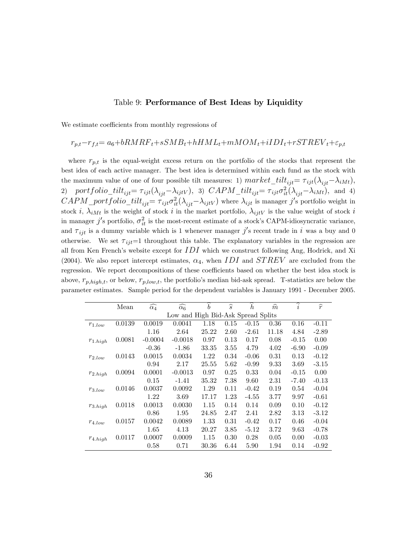#### Table 9: Performance of Best Ideas by Liquidity

We estimate coefficients from monthly regressions of

## $r_{n.t} - r_{f.t} = a_6 + bRMRF_t + sSMB_t + hHML_t + mMOM_t + iIDI_t + rSTREV_t + \varepsilon_{p,t}$

where  $r_{p,t}$  is the equal-weight excess return on the portfolio of the stocks that represent the best idea of each active manager. The best idea is determined within each fund as the stock with the maximum value of one of four possible tilt measures: 1)  $market\_tilt_{ijt} = \tau_{ijt}(\lambda_{ijt}-\lambda_{iMt}),$ 2) portfolio\_tilt<sub>ijt</sub>=  $\tau_{ijt}(\lambda_{ijt}-\lambda_{ijtV})$ , 3)  $CAPM\_tilt_{ijt} = \tau_{ijt}\sigma_{it}^2(\lambda_{ijt}-\lambda_{iMt})$ , and 4)  $CAPM\_portfolio\_tilt_{ijt} = \tau_{ijt}\sigma_{it}^2(\lambda_{ijt}-\lambda_{ijtV})$  where  $\lambda_{ijt}$  is manager j's portfolio weight in stock i,  $\lambda_{iMt}$  is the weight of stock i in the market portfolio,  $\lambda_{ijtV}$  is the value weight of stock i in manager  $j'$ s portfolio,  $\sigma_{it}^2$  is the most-recent estimate of a stock's CAPM-idiosyncratic variance, and  $\tau_{ijt}$  is a dummy variable which is 1 whenever manager j's recent trade in i was a buy and 0 otherwise. We set  $\tau_{ijt}=1$  throughout this table. The explanatory variables in the regression are all from Ken French's website except for  $IDI$  which we construct following Ang, Hodrick, and Xi (2004). We also report intercept estimates,  $\alpha_4$ , when IDI and STREV are excluded from the regression. We report decompositions of these coefficients based on whether the best idea stock is above,  $r_{p,high,t}$ , or below,  $r_{p,low,t}$ , the portfolio's median bid-ask spread. T-statistics are below the parameter estimates. Sample period for the dependent variables is January 1991 - December 2005.

|              | Mean   | $\widehat{\alpha_4}$ | $\widehat{\alpha_6}$               | $\widetilde{b}$ | $\widehat{s}$ | $\boldsymbol{h}$ | $\widehat{m}$ | $\overline{\hat{i}}$ | $\widehat{r}$ |
|--------------|--------|----------------------|------------------------------------|-----------------|---------------|------------------|---------------|----------------------|---------------|
|              |        |                      | Low and High Bid-Ask Spread Splits |                 |               |                  |               |                      |               |
| $r_{1,low}$  | 0.0139 | 0.0019               | 0.0041                             | 1.18            | 0.15          | $-0.15$          | 0.36          | 0.16                 | $-0.11$       |
|              |        | 1.16                 | 2.64                               | 25.22           | 2.60          | $-2.61$          | 11.18         | 4.84                 | $-2.89$       |
| $r_{1.high}$ | 0.0081 | $-0.0004$            | $-0.0018$                          | 0.97            | 0.13          | 0.17             | 0.08          | $-0.15$              | 0.00          |
|              |        | $-0.36$              | $-1.86$                            | 33.35           | 3.55          | 4.79             | 4.02          | $-6.90$              | $-0.09$       |
| $r_{2,low}$  | 0.0143 | 0.0015               | 0.0034                             | 1.22            | 0.34          | $-0.06$          | 0.31          | 0.13                 | $-0.12$       |
|              |        | 0.94                 | 2.17                               | 25.55           | 5.62          | $-0.99$          | 9.33          | 3.69                 | $-3.15$       |
| $r_{2.high}$ | 0.0094 | 0.0001               | $-0.0013$                          | 0.97            | 0.25          | 0.33             | 0.04          | $-0.15$              | 0.00          |
|              |        | 0.15                 | $-1.41$                            | 35.32           | 7.38          | 9.60             | 2.31          | $-7.40$              | $-0.13$       |
| $r_{3,low}$  | 0.0146 | 0.0037               | 0.0092                             | 1.29            | 0.11          | $-0.42$          | 0.19          | 0.54                 | $-0.04$       |
|              |        | 1.22                 | 3.69                               | 17.17           | 1.23          | $-4.55$          | 3.77          | 9.97                 | $-0.61$       |
| $r_{3,high}$ | 0.0118 | 0.0013               | 0.0030                             | 1.15            | 0.14          | 0.14             | 0.09          | 0.10                 | $-0.12$       |
|              |        | 0.86                 | 1.95                               | 24.85           | 2.47          | 2.41             | 2.82          | 3.13                 | $-3.12$       |
| $r_{4,low}$  | 0.0157 | 0.0042               | 0.0089                             | 1.33            | 0.31          | $-0.42$          | 0.17          | 0.46                 | $-0.04$       |
|              |        | 1.65                 | 4.13                               | 20.27           | 3.85          | $-5.12$          | 3.72          | 9.63                 | $-0.78$       |
| $r_{4.high}$ | 0.0117 | 0.0007               | 0.0009                             | 1.15            | 0.30          | 0.28             | 0.05          | 0.00                 | $-0.03$       |
|              |        | 0.58                 | 0.71                               | 30.36           | 6.44          | 5.90             | 1.94          | 0.14                 | $-0.92$       |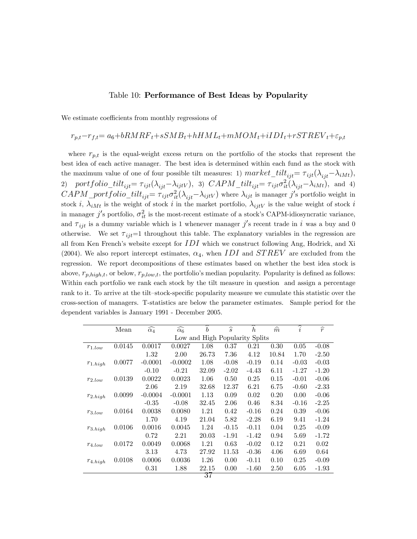#### Table 10: Performance of Best Ideas by Popularity

We estimate coefficients from monthly regressions of

# $r_{p,t}-r_{f,t}= a_6+bRMRF_t+sSMB_t+hHML_t+mMOM_t+iIDI_t+rSTREV_t+\varepsilon_{p,t}$

where  $r_{p,t}$  is the equal-weight excess return on the portfolio of the stocks that represent the best idea of each active manager. The best idea is determined within each fund as the stock with the maximum value of one of four possible tilt measures: 1)  $market\_tilt_{ijt} = \tau_{ijt}(\lambda_{ijt}-\lambda_{iMt}),$ 2) portfolio\_tilt<sub>ijt</sub>=  $\tau_{ijt}(\lambda_{ijt}-\lambda_{ijtV})$ , 3)  $CAPM\_tilt_{ijt} = \tau_{ijt}\sigma_{it}^2(\lambda_{ijt}-\lambda_{iMt})$ , and 4)  $CAPM\_portfolio\_tilt_{ijt} = \tau_{ijt}\sigma_{it}^2(\lambda_{ijt}-\lambda_{ijtV})$  where  $\lambda_{ijt}$  is manager j's portfolio weight in stock i,  $\lambda_{iMt}$  is the weight of stock i in the market portfolio,  $\lambda_{ijtV}$  is the value weight of stock i in manager  $j'$ s portfolio,  $\sigma_{it}^2$  is the most-recent estimate of a stock's CAPM-idiosyncratic variance, and  $\tau_{ijt}$  is a dummy variable which is 1 whenever manager j's recent trade in i was a buy and 0 otherwise. We set  $\tau_{ijt}=1$  throughout this table. The explanatory variables in the regression are all from Ken French's website except for  $IDI$  which we construct following Ang, Hodrick, and Xi (2004). We also report intercept estimates,  $\alpha_4$ , when IDI and STREV are excluded from the regression. We report decompositions of these estimates based on whether the best idea stock is above,  $r_{p,high,t}$ , or below,  $r_{p,low,t}$ , the portfolio's median popularity. Popularity is defined as follows: Within each portfolio we rank each stock by the tilt measure in question and assign a percentage rank to it. To arrive at the tilt-stock-specific popularity measure we cumulate this statistic over the cross-section of managers. T-statistics are below the parameter estimates. Sample period for the dependent variables is January 1991 - December 2005.

|              | Mean   | $\widehat{\alpha_4}$ | $\widehat{\alpha_6}$ | $\boldsymbol{b}$               | $\widehat{s}$ | h       | $\widehat{m}$ | $\widehat{i}$ | $\widehat{r}$ |
|--------------|--------|----------------------|----------------------|--------------------------------|---------------|---------|---------------|---------------|---------------|
|              |        |                      |                      | Low and High Popularity Splits |               |         |               |               |               |
| $r_{1,low}$  | 0.0145 | 0.0017               | 0.0027               | 1.08                           | 0.37          | 0.21    | 0.30          | 0.05          | $-0.08$       |
|              |        | 1.32                 | 2.00                 | 26.73                          | 7.36          | 4.12    | 10.84         | 1.70          | $-2.50$       |
| $r_{1.high}$ | 0.0077 | $-0.0001$            | $-0.0002$            | 1.08                           | $-0.08$       | $-0.19$ | 0.14          | $-0.03$       | $-0.03$       |
|              |        | $-0.10$              | $-0.21$              | 32.09                          | $-2.02$       | $-4.43$ | 6.11          | $-1.27$       | $-1.20$       |
| $r_{2,low}$  | 0.0139 | 0.0022               | 0.0023               | 1.06                           | 0.50          | 0.25    | 0.15          | $-0.01$       | $-0.06$       |
|              |        | 2.06                 | 2.19                 | 32.68                          | 12.37         | 6.21    | 6.75          | $-0.60$       | $-2.33$       |
| $r_{2,high}$ | 0.0099 | $-0.0004$            | $-0.0001$            | 1.13                           | 0.09          | 0.02    | 0.20          | 0.00          | $-0.06$       |
|              |        | $-0.35$              | $-0.08$              | 32.45                          | 2.06          | 0.46    | 8.34          | $-0.16$       | $-2.25$       |
| $r_{3,low}$  | 0.0164 | 0.0038               | 0.0080               | 1.21                           | 0.42          | $-0.16$ | 0.24          | 0.39          | $-0.06$       |
|              |        | 1.70                 | 4.19                 | 21.04                          | 5.82          | $-2.28$ | 6.19          | 9.41          | $-1.24$       |
| $r_{3,high}$ | 0.0106 | 0.0016               | 0.0045               | 1.24                           | $-0.15$       | $-0.11$ | 0.04          | 0.25          | $-0.09$       |
|              |        | 0.72                 | 2.21                 | 20.03                          | $-1.91$       | $-1.42$ | 0.94          | 5.69          | -1.72         |
| $r_{4,low}$  | 0.0172 | 0.0049               | 0.0068               | 1.21                           | 0.63          | $-0.02$ | 0.12          | 0.21          | 0.02          |
|              |        | 3.13                 | 4.73                 | 27.92                          | 11.53         | $-0.36$ | 4.06          | 6.69          | 0.64          |
| $r_{4,high}$ | 0.0108 | 0.0006               | 0.0036               | 1.26                           | 0.00          | $-0.11$ | 0.10          | 0.25          | $-0.09$       |
|              |        | 0.31                 | 1.88                 | 22.15                          | 0.00          | $-1.60$ | 2.50          | 6.05          | $-1.93$       |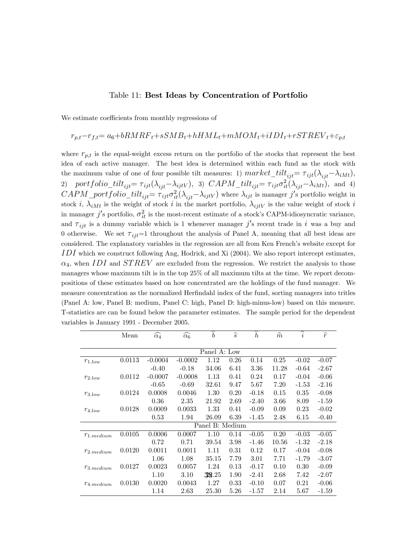#### Table 11: Best Ideas by Concentration of Portfolio

We estimate coefficients from monthly regressions of

# $r_{p,t}-r_{f,t}= a_6+bRMRF_t+sSMB_t+hHML_t+mMOM_t+iIDI_t+rSTREV_t+\varepsilon_{p,t}$

where  $r_{p,t}$  is the equal-weight excess return on the portfolio of the stocks that represent the best idea of each active manager. The best idea is determined within each fund as the stock with the maximum value of one of four possible tilt measures: 1)  $market\_tilt_{ijt} = \tau_{ijt}(\lambda_{ijt}-\lambda_{iMt}),$ 2) portfolio\_tilt<sub>ijt</sub>=  $\tau_{ijt}(\lambda_{ijt}-\lambda_{ijtV})$ , 3)  $CAPM\_tilt_{ijt} = \tau_{ijt}\sigma_{it}^2(\lambda_{ijt}-\lambda_{iMt})$ , and 4)  $CAPM\_portfolio\_tilt_{ijt} = \tau_{ijt}\sigma_{it}^2(\lambda_{ijt}-\lambda_{ijtV})$  where  $\lambda_{ijt}$  is manager j's portfolio weight in stock i,  $\lambda_{iMt}$  is the weight of stock i in the market portfolio,  $\lambda_{ijtV}$  is the value weight of stock i in manager  $j'$ s portfolio,  $\sigma_{it}^2$  is the most-recent estimate of a stock's CAPM-idiosyncratic variance, and  $\tau_{ijt}$  is a dummy variable which is 1 whenever manager j's recent trade in i was a buy and 0 otherwise. We set  $\tau_{ijt}=1$  throughout the analysis of Panel A, meaning that all best ideas are considered. The explanatory variables in the regression are all from Ken French's website except for  $IDI$  which we construct following Ang, Hodrick, and Xi (2004). We also report intercept estimates,  $\alpha_4$ , when IDI and STREV are excluded from the regression. We restrict the analysis to those managers whose maximum tilt is in the top 25% of all maximum tilts at the time. We report decompositions of these estimates based on how concentrated are the holdings of the fund manager. We measure concentration as the normalized Herfindahl index of the fund, sorting managers into tritles (Panel A: low, Panel B: medium, Panel C: high, Panel D: high-minus-low) based on this measure. T-statistics are can be found below the parameter estimates. The sample period for the dependent variables is January 1991 - December 2005.

|                | Mean   | $\widehat{\alpha_4}$ | $\widehat{\alpha_6}$ | ⌒<br>$\boldsymbol{b}$ | $\widehat{s}$ | ∼<br>$\boldsymbol{h}$ | $\widehat{m}$ | $\widehat{i}$ | $\widehat{r}$ |
|----------------|--------|----------------------|----------------------|-----------------------|---------------|-----------------------|---------------|---------------|---------------|
|                |        |                      |                      |                       |               |                       |               |               |               |
|                |        |                      |                      | Panel A: Low          |               |                       |               |               |               |
| $r_{1,low}$    | 0.0113 | $-0.0004$            | $-0.0002$            | 1.12                  | 0.26          | 0.14                  | 0.25          | $-0.02$       | $-0.07$       |
|                |        | $-0.40$              | $-0.18$              | 34.06                 | 6.41          | $3.36\,$              | 11.28         | $-0.64$       | $-2.67$       |
| $r_{2,low}$    | 0.0112 | $-0.0007$            | $-0.0008$            | 1.13                  | 0.41          | 0.24                  | 0.17          | $-0.04$       | $-0.06$       |
|                |        | $-0.65$              | $-0.69$              | 32.61                 | 9.47          | 5.67                  | 7.20          | $-1.53$       | $-2.16$       |
| $r_{3,low}$    | 0.0124 | 0.0008               | 0.0046               | 1.30                  | 0.20          | $-0.18$               | 0.15          | 0.35          | $-0.08$       |
|                |        | 0.36                 | 2.35                 | 21.92                 | 2.69          | $-2.40$               | 3.66          | 8.09          | $-1.59$       |
| $r_{4,low}$    | 0.0128 | 0.0009               | 0.0033               | 1.33                  | 0.41          | $-0.09$               | 0.09          | 0.23          | $-0.02$       |
|                |        | 0.53                 | 1.94                 | 26.09                 | 6.39          | $-1.45$               | 2.48          | 6.15          | $-0.40$       |
|                |        |                      |                      | Panel B: Medium       |               |                       |               |               |               |
| $r_{1.medium}$ | 0.0105 | 0.0006               | 0.0007               | 1.10                  | 0.14          | $-0.05$               | 0.20          | $-0.03$       | $-0.05$       |
|                |        | 0.72                 | 0.71                 | 39.54                 | 3.98          | $-1.46$               | 10.56         | $-1.32$       | $-2.18$       |
| $r_{2,medium}$ | 0.0120 | 0.0011               | 0.0011               | 1.11                  | 0.31          | 0.12                  | 0.17          | $-0.04$       | $-0.08$       |
|                |        | 1.06                 | 1.08                 | 35.15                 | 7.79          | 3.01                  | 7.71          | $-1.79$       | $-3.07$       |
| $r_{3.medium}$ | 0.0127 | 0.0023               | 0.0057               | 1.24                  | 0.13          | $-0.17$               | 0.10          | 0.30          | $-0.09$       |
|                |        | 1.10                 | 3.10                 | 38.25                 | 1.90          | $-2.41$               | 2.68          | 7.42          | $-2.07$       |
| $r_{4,medium}$ | 0.0130 | 0.0020               | 0.0043               | 1.27                  | 0.33          | $-0.10$               | 0.07          | 0.21          | $-0.06$       |
|                |        | 1.14                 | 2.63                 | 25.30                 | 5.26          | $-1.57$               | 2.14          | 5.67          | $-1.59$       |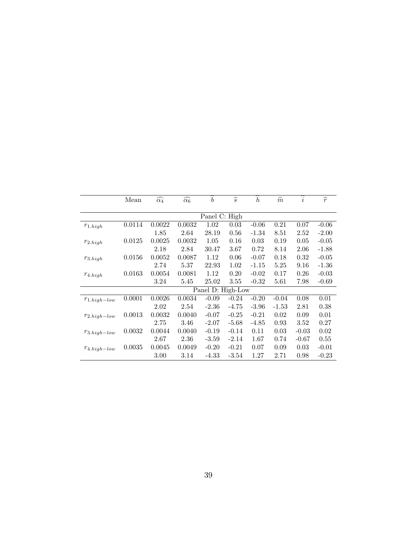|                   | Mean   | $\widehat{\alpha_4}$ | $\widehat{\alpha_6}$ | $\widehat{b}$     | $\widehat{s}$ | $\boldsymbol{h}$ | $\widehat{m}$ | $\widehat{i}$ | $\widehat{r}$ |
|-------------------|--------|----------------------|----------------------|-------------------|---------------|------------------|---------------|---------------|---------------|
|                   |        |                      |                      |                   |               |                  |               |               |               |
|                   |        |                      |                      | Panel C: High     |               |                  |               |               |               |
| $r_{1.high}$      | 0.0114 | 0.0022               | 0.0032               | 1.02              | 0.03          | $-0.06$          | 0.21          | 0.07          | $-0.06$       |
|                   |        | 1.85                 | 2.64                 | 28.19             | 0.56          | $-1.34$          | 8.51          | 2.52          | $-2.00$       |
| $r_{2.high}$      | 0.0125 | 0.0025               | 0.0032               | 1.05              | 0.16          | 0.03             | 0.19          | 0.05          | $-0.05$       |
|                   |        | 2.18                 | 2.84                 | 30.47             | 3.67          | 0.72             | 8.14          | 2.06          | $-1.88$       |
| $r_{3. high}$     | 0.0156 | 0.0052               | 0.0087               | 1.12              | 0.06          | $-0.07$          | 0.18          | 0.32          | $-0.05$       |
|                   |        | 2.74                 | 5.37                 | 22.93             | 1.02          | $-1.15$          | 5.25          | 9.16          | $-1.36$       |
| $r_{4.high}$      | 0.0163 | 0.0054               | 0.0081               | 1.12              | 0.20          | $-0.02$          | 0.17          | 0.26          | $-0.03$       |
|                   |        | 3.24                 | 5.45                 | 25.02             | $3.55\,$      | $-0.32$          | 5.61          | 7.98          | $-0.69$       |
|                   |        |                      |                      | Panel D: High-Low |               |                  |               |               |               |
| $r_{1.high-low}$  | 0.0001 | 0.0026               | 0.0034               | $-0.09$           | $-0.24$       | $-0.20$          | $-0.04$       | 0.08          | 0.01          |
|                   |        | 2.02                 | 2.54                 | $-2.36$           | $-4.75$       | $-3.96$          | $-1.53$       | 2.81          | 0.38          |
| $r_{2.high-low}$  | 0.0013 | 0.0032               | 0.0040               | $-0.07$           | $-0.25$       | $-0.21$          | 0.02          | 0.09          | 0.01          |
|                   |        | 2.75                 | 3.46                 | $-2.07$           | $-5.68$       | $-4.85$          | 0.93          | 3.52          | 0.27          |
| $r_{3. high-low}$ | 0.0032 | 0.0044               | 0.0040               | $-0.19$           | $-0.14$       | 0.11             | 0.03          | $-0.03$       | 0.02          |
|                   |        | 2.67                 | 2.36                 | $-3.59$           | $-2.14$       | 1.67             | 0.74          | $-0.67$       | 0.55          |
| $r_{4. high-low}$ | 0.0035 | 0.0045               | 0.0049               | $-0.20$           | $-0.21$       | 0.07             | 0.09          | 0.03          | $-0.01$       |
|                   |        | 3.00                 | 3.14                 | -4.33             | $-3.54$       | 1.27             | 2.71          | 0.98          | $-0.23$       |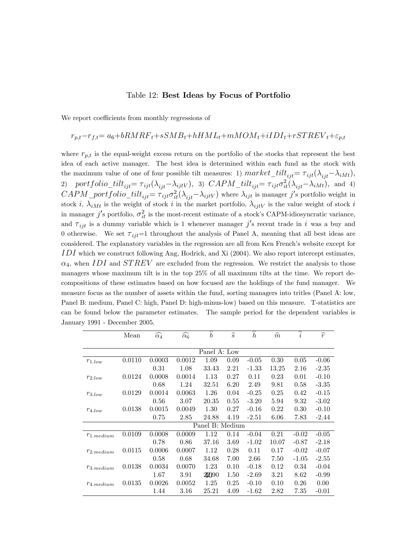#### Table 12: Best Ideas by Focus of Portfolio

We report coefficients from monthly regressions of

# $r_{p,t}-r_{f,t}= a_6+bRMRF_t+sSMB_t+hHML_t+mMOM_t+iIDI_t+rSTREV_t+\varepsilon_{p,t}$

where  $r_{p,t}$  is the equal-weight excess return on the portfolio of the stocks that represent the best idea of each active manager. The best idea is determined within each fund as the stock with the maximum value of one of four possible tilt measures: 1)  $market\_tilt_{ijt} = \tau_{ijt}(\lambda_{ijt}-\lambda_{iMt}),$ 2) portfolio\_tilt<sub>ijt</sub>=  $\tau_{ijt}(\lambda_{ijt}-\lambda_{ijtV})$ , 3)  $CAPM\_tilt_{ijt} = \tau_{ijt}\sigma_{it}^2(\lambda_{ijt}-\lambda_{iMt})$ , and 4)  $CAPM\_portfolio\_tilt_{ijt} = \tau_{ijt}\sigma_{it}^2(\lambda_{ijt}-\lambda_{ijtV})$  where  $\lambda_{ijt}$  is manager j's portfolio weight in stock i,  $\lambda_{iMt}$  is the weight of stock i in the market portfolio,  $\lambda_{ijtV}$  is the value weight of stock i in manager  $j'$ s portfolio,  $\sigma_{it}^2$  is the most-recent estimate of a stock's CAPM-idiosyncratic variance, and  $\tau_{ijt}$  is a dummy variable which is 1 whenever manager j's recent trade in i was a buy and 0 otherwise. We set  $\tau_{ij}=1$  throughout the analysis of Panel A, meaning that all best ideas are considered. The explanatory variables in the regression are all from Ken French's website except for  $IDI$  which we construct following Ang, Hodrick, and Xi (2004). We also report intercept estimates,  $\alpha_4$ , when IDI and STREV are excluded from the regression. We restrict the analysis to those managers whose maximum tilt is in the top 25% of all maximum tilts at the time. We report decompositions of these estimates based on how focused are the holdings of the fund manager. We measure focus as the number of assets within the fund, sorting managers into tritles (Panel A: low, Panel B: medium, Panel C: high, Panel D: high-minus-low) based on this measure. T-statistics are can be found below the parameter estimates. The sample period for the dependent variables is January 1991 - December 2005.

|                | Mean         | $\widehat{\alpha_4}$ | $\widehat{\alpha_6}$ | $\overline{\hat{b}}$ | $\widehat{s}$ | $\widetilde{h}$ | $\widehat{m}$ | $\widehat{\widehat{i}}$ | $\widehat{r}$ |  |
|----------------|--------------|----------------------|----------------------|----------------------|---------------|-----------------|---------------|-------------------------|---------------|--|
|                | Panel A: Low |                      |                      |                      |               |                 |               |                         |               |  |
| $r_{1,low}$    | 0.0110       | 0.0003               | 0.0012               | 1.09                 | 0.09          | $-0.05$         | 0.30          | 0.05                    | $-0.06$       |  |
|                |              | 0.31                 | 1.08                 | 33.43                | 2.21          | $-1.33$         | 13.25         | 2.16                    | $-2.35$       |  |
| $r_{2,low}$    | 0.0124       | 0.0008               | 0.0014               | 1.13                 | 0.27          | 0.11            | 0.23          | 0.01                    | $-0.10$       |  |
|                |              | 0.68                 | 1.24                 | $32.51\,$            | 6.20          | 2.49            | 9.81          | 0.58                    | $-3.35$       |  |
| $r_{3,low}$    | 0.0129       | 0.0014               | 0.0063               | 1.26                 | 0.04          | $-0.25$         | 0.25          | 0.42                    | $-0.15$       |  |
|                |              | 0.56                 | 3.07                 | 20.35                | 0.55          | $-3.20$         | 5.94          | 9.32                    | $-3.02$       |  |
| $r_{4,low}$    | 0.0138       | 0.0015               | 0.0049               | 1.30                 | 0.27          | $-0.16$         | 0.22          | 0.30                    | $-0.10$       |  |
|                |              | 0.75                 | 2.85                 | 24.88                | 4.19          | $-2.51$         | 6.06          | 7.83                    | $-2.44$       |  |
|                |              |                      |                      | Panel B: Medium      |               |                 |               |                         |               |  |
| $r_{1.medium}$ | 0.0109       | 0.0008               | 0.0009               | 1.12                 | 0.14          | $-0.04$         | 0.21          | $-0.02$                 | $-0.05$       |  |
|                |              | 0.78                 | 0.86                 | 37.16                | 3.69          | $-1.02$         | 10.07         | $-0.87$                 | $-2.18$       |  |
| $r_{2,medium}$ | 0.0115       | 0.0006               | 0.0007               | 1.12                 | 0.28          | 0.11            | 0.17          | $-0.02$                 | $-0.07$       |  |
|                |              | 0.58                 | 0.68                 | 34.68                | 7.00          | 2.66            | 7.50          | $-1.05$                 | $-2.55$       |  |
| $r_{3.medium}$ | 0.0138       | 0.0034               | 0.0070               | 1.23                 | 0.10          | $-0.18$         | 0.12          | 0.34                    | $-0.04$       |  |
|                |              | 1.67                 | 3.91                 | 20090                | 1.50          | $-2.69$         | 3.21          | 8.62                    | $-0.99$       |  |
| $r_{4,medium}$ | 0.0135       | 0.0026               | 0.0052               | 1.25                 | 0.25          | $-0.10$         | 0.10          | 0.26                    | 0.00          |  |
|                |              | 1.44                 | 3.16                 | 25.21                | 4.09          | $-1.62$         | 2.82          | 7.35                    | $-0.01$       |  |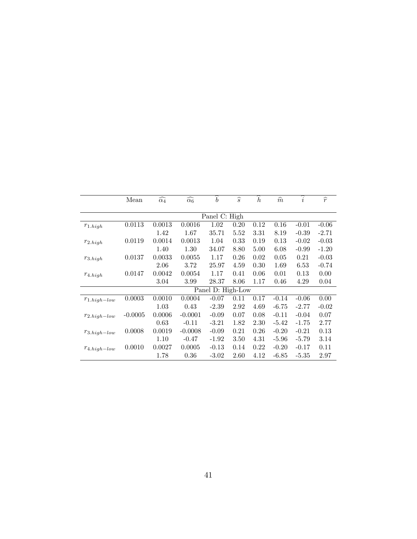|                   | Mean          | $\widehat{\alpha_4}$ | $\widehat{\alpha_6}$ | $\widehat{b}$     | $\widehat{s}$ | $\widehat{h}$ | $\widehat{m}$ | $\widehat{i}$ | $\widehat{r}$ |  |  |
|-------------------|---------------|----------------------|----------------------|-------------------|---------------|---------------|---------------|---------------|---------------|--|--|
|                   |               |                      |                      |                   |               |               |               |               |               |  |  |
|                   | Panel C: High |                      |                      |                   |               |               |               |               |               |  |  |
| $r_{1.high}$      | 0.0113        | 0.0013               | 0.0016               | 1.02              | 0.20          | 0.12          | 0.16          | $-0.01$       | $-0.06$       |  |  |
|                   |               | 1.42                 | 1.67                 | 35.71             | 5.52          | 3.31          | 8.19          | $-0.39$       | $-2.71$       |  |  |
| $r_{2.high}$      | 0.0119        | 0.0014               | 0.0013               | 1.04              | 0.33          | 0.19          | 0.13          | $-0.02$       | $-0.03$       |  |  |
|                   |               | 1.40                 | 1.30                 | 34.07             | 8.80          | 5.00          | 6.08          | $-0.99$       | $-1.20$       |  |  |
| $r_{3. high}$     | 0.0137        | 0.0033               | 0.0055               | 1.17              | 0.26          | 0.02          | 0.05          | 0.21          | $-0.03$       |  |  |
|                   |               | 2.06                 | 3.72                 | 25.97             | 4.59          | 0.30          | 1.69          | 6.53          | $-0.74$       |  |  |
| $r_{4.high}$      | 0.0147        | 0.0042               | 0.0054               | 1.17              | 0.41          | 0.06          | 0.01          | 0.13          | 0.00          |  |  |
|                   |               | 3.04                 | 3.99                 | 28.37             | 8.06          | 1.17          | 0.46          | 4.29          | 0.04          |  |  |
|                   |               |                      |                      | Panel D: High-Low |               |               |               |               |               |  |  |
| $r_{1.high-low}$  | 0.0003        | 0.0010               | 0.0004               | $-0.07$           | 0.11          | 0.17          | $-0.14$       | $-0.06$       | 0.00          |  |  |
|                   |               | 1.03                 | 0.43                 | $-2.39$           | 2.92          | 4.69          | $-6.75$       | $-2.77$       | $-0.02$       |  |  |
| $r_{2.high-low}$  | $-0.0005$     | 0.0006               | $-0.0001$            | $-0.09$           | 0.07          | 0.08          | $-0.11$       | $-0.04$       | 0.07          |  |  |
|                   |               | 0.63                 | $-0.11$              | $-3.21$           | 1.82          | 2.30          | $-5.42$       | $-1.75$       | 2.77          |  |  |
| $r_{3. high-low}$ | 0.0008        | 0.0019               | $-0.0008$            | $-0.09$           | 0.21          | 0.26          | $-0.20$       | $-0.21$       | 0.13          |  |  |
|                   |               | 1.10                 | $-0.47$              | $-1.92$           | 3.50          | 4.31          | $-5.96$       | $-5.79$       | 3.14          |  |  |
| $r_{4. high-low}$ | 0.0010        | 0.0027               | 0.0005               | $-0.13$           | 0.14          | 0.22          | $-0.20$       | $-0.17$       | 0.11          |  |  |
|                   |               | 1.78                 | 0.36                 | $-3.02$           | 2.60          | 4.12          | $-6.85$       | $-5.35$       | 2.97          |  |  |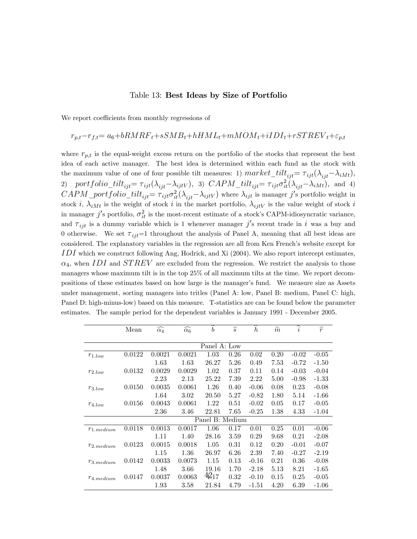#### Table 13: Best Ideas by Size of Portfolio

We report coefficients from monthly regressions of

# $r_{p,t}-r_{f,t}= a_6+bRMRF_t+sSMB_t+hHML_t+mMOM_t+iIDI_t+rSTREV_t+\varepsilon_{p,t}$

where  $r_{p,t}$  is the equal-weight excess return on the portfolio of the stocks that represent the best idea of each active manager. The best idea is determined within each fund as the stock with the maximum value of one of four possible tilt measures: 1)  $market\_tilt_{ijt} = \tau_{ijt}(\lambda_{ijt}-\lambda_{iMt}),$ 2) portfolio\_tilt<sub>ijt</sub>=  $\tau_{ijt}(\lambda_{ijt}-\lambda_{ijtV})$ , 3)  $CAPM\_tilt_{ijt} = \tau_{ijt}\sigma_{it}^2(\lambda_{ijt}-\lambda_{iMt})$ , and 4)  $CAPM\_portfolio\_tilt_{ijt} = \tau_{ijt}\sigma_{it}^2(\lambda_{ijt}-\lambda_{ijtV})$  where  $\lambda_{ijt}$  is manager j's portfolio weight in stock i,  $\lambda_{iMt}$  is the weight of stock i in the market portfolio,  $\lambda_{ijtV}$  is the value weight of stock i in manager  $j'$ s portfolio,  $\sigma_{it}^2$  is the most-recent estimate of a stock's CAPM-idiosyncratic variance, and  $\tau_{ijt}$  is a dummy variable which is 1 whenever manager j's recent trade in i was a buy and 0 otherwise. We set  $\tau_{ij}=1$  throughout the analysis of Panel A, meaning that all best ideas are considered. The explanatory variables in the regression are all from Ken French's website except for  $IDI$  which we construct following Ang, Hodrick, and Xi (2004). We also report intercept estimates,  $\alpha_4$ , when IDI and STREV are excluded from the regression. We restrict the analysis to those managers whose maximum tilt is in the top 25% of all maximum tilts at the time. We report decompositions of these estimates based on how large is the manager's fund. We measure size as Assets under management, sorting managers into tritles (Panel A: low, Panel B: medium, Panel C: high, Panel D: high-minus-low) based on this measure. T-statistics are can be found below the parameter estimates. The sample period for the dependent variables is January 1991 - December 2005.

|                | Mean         | $\widehat{\alpha_4}$ | $\widehat{\alpha_6}$ | ∽<br>$\boldsymbol{b}$ | $\widehat{s}$ | ∽<br>$\boldsymbol{h}$ | $\widehat{m}$ | $\widehat{i}$ | $\widehat{r}$ |
|----------------|--------------|----------------------|----------------------|-----------------------|---------------|-----------------------|---------------|---------------|---------------|
|                |              |                      |                      |                       |               |                       |               |               |               |
|                | Panel A: Low |                      |                      |                       |               |                       |               |               |               |
| $r_{1,low}$    | 0.0122       | 0.0021               | 0.0021               | 1.03                  | 0.26          | 0.02                  | 0.20          | $-0.02$       | $-0.05$       |
|                |              | 1.63                 | 1.63                 | 26.27                 | 5.26          | 0.49                  | 7.53          | $-0.72$       | $-1.50$       |
| $r_{2,low}$    | 0.0132       | 0.0029               | 0.0029               | 1.02                  | 0.37          | 0.11                  | 0.14          | $-0.03$       | $-0.04$       |
|                |              | 2.23                 | 2.13                 | 25.22                 | 7.39          | 2.22                  | 5.00          | $-0.98$       | $-1.33$       |
| $r_{3,low}$    | 0.0150       | 0.0035               | 0.0061               | 1.26                  | 0.40          | $-0.06$               | 0.08          | 0.23          | $-0.08$       |
|                |              | 1.64                 | 3.02                 | 20.50                 | 5.27          | $-0.82$               | 1.80          | 5.14          | $-1.66$       |
| $r_{4,low}$    | 0.0156       | 0.0043               | 0.0061               | 1.22                  | 0.51          | $-0.02$               | 0.05          | 0.17          | $-0.05$       |
|                |              | 2.36                 | 3.46                 | 22.81                 | 7.65          | $-0.25$               | 1.38          | 4.33          | $-1.04$       |
|                |              |                      |                      | Panel B: Medium       |               |                       |               |               |               |
| $r_{1.medium}$ | 0.0118       | 0.0013               | 0.0017               | 1.06                  | 0.17          | 0.01                  | 0.25          | 0.01          | $-0.06$       |
|                |              | 1.11                 | 1.40                 | 28.16                 | 3.59          | 0.29                  | 9.68          | 0.21          | $-2.08$       |
| $r_{2.medium}$ | 0.0123       | 0.0015               | 0.0018               | 1.05                  | 0.31          | 0.12                  | 0.20          | $-0.01$       | $-0.07$       |
|                |              | 1.15                 | 1.36                 | 26.97                 | 6.26          | 2.39                  | 7.40          | $-0.27$       | $-2.19$       |
| $r_{3.medium}$ | 0.0142       | 0.0033               | 0.0073               | 1.15                  | 0.13          | $-0.16$               | 0.21          | 0.36          | $-0.08$       |
|                |              | 1.48                 | 3.66                 | 19.16                 | 1.70          | $-2.18$               | 5.13          | 8.21          | $-1.65$       |
| $r_{4.medium}$ | 0.0147       | 0.0037               | 0.0063               | $42_{17}$             | 0.32          | $-0.10$               | 0.15          | 0.25          | $-0.05$       |
|                |              | 1.93                 | $3.58\,$             | 21.84                 | 4.79          | $-1.51$               | 4.20          | 6.39          | $-1.06$       |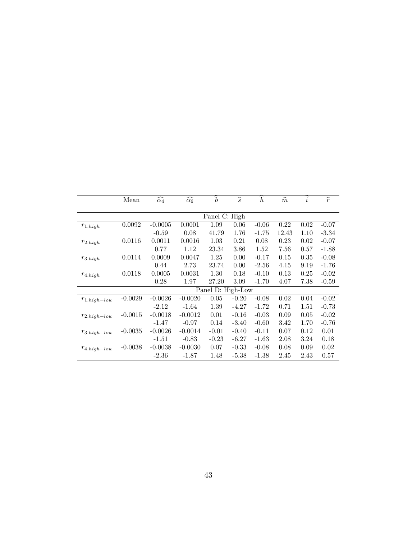|                   | Mean          | $\widehat{\alpha_4}$ | $\widehat{\alpha_6}$ | $\widehat{b}$     | $\widehat{s}$ | $\boldsymbol{h}$ | $\widehat{m}$ | $\widehat{i}$ | $\widehat{r}$ |  |  |
|-------------------|---------------|----------------------|----------------------|-------------------|---------------|------------------|---------------|---------------|---------------|--|--|
|                   |               |                      |                      |                   |               |                  |               |               |               |  |  |
|                   | Panel C: High |                      |                      |                   |               |                  |               |               |               |  |  |
| $r_{1.high}$      | 0.0092        | $-0.0005$            | 0.0001               | 1.09              | 0.06          | $-0.06$          | 0.22          | 0.02          | $-0.07$       |  |  |
|                   |               | $-0.59$              | 0.08                 | 41.79             | 1.76          | $-1.75$          | 12.43         | 1.10          | $-3.34$       |  |  |
| $r_{2.high}$      | 0.0116        | 0.0011               | 0.0016               | 1.03              | 0.21          | 0.08             | 0.23          | 0.02          | $-0.07$       |  |  |
|                   |               | 0.77                 | 1.12                 | 23.34             | 3.86          | 1.52             | 7.56          | 0.57          | $-1.88$       |  |  |
| $r_{3. high}$     | 0.0114        | 0.0009               | 0.0047               | 1.25              | 0.00          | $-0.17$          | 0.15          | 0.35          | $-0.08$       |  |  |
|                   |               | 0.44                 | 2.73                 | 23.74             | 0.00          | $-2.56$          | 4.15          | 9.19          | $-1.76$       |  |  |
| $r_{4.high}$      | 0.0118        | 0.0005               | 0.0031               | 1.30              | 0.18          | $-0.10$          | 0.13          | 0.25          | $-0.02$       |  |  |
|                   |               | 0.28                 | 1.97                 | 27.20             | 3.09          | $-1.70$          | 4.07          | 7.38          | $-0.59$       |  |  |
|                   |               |                      |                      | Panel D: High-Low |               |                  |               |               |               |  |  |
| $r_{1.high-low}$  | $-0.0029$     | $-0.0026$            | $-0.0020$            | 0.05              | $-0.20$       | $-0.08$          | 0.02          | 0.04          | $-0.02$       |  |  |
|                   |               | $-2.12$              | $-1.64$              | 1.39              | $-4.27$       | $-1.72$          | 0.71          | 1.51          | $-0.73$       |  |  |
| $r_{2.high-low}$  | $-0.0015$     | $-0.0018$            | $-0.0012$            | 0.01              | $-0.16$       | $-0.03$          | 0.09          | 0.05          | $-0.02$       |  |  |
|                   |               | $-1.47$              | $-0.97$              | 0.14              | $-3.40$       | $-0.60$          | 3.42          | 1.70          | $-0.76$       |  |  |
| $r_{3. high-low}$ | $-0.0035$     | $-0.0026$            | $-0.0014$            | $-0.01$           | $-0.40$       | $-0.11$          | 0.07          | 0.12          | 0.01          |  |  |
|                   |               | $-1.51$              | $-0.83$              | $-0.23$           | $-6.27$       | $-1.63$          | 2.08          | 3.24          | 0.18          |  |  |
| $r_{4.high-low}$  | $-0.0038$     | $-0.0038$            | $-0.0030$            | 0.07              | $-0.33$       | $-0.08$          | 0.08          | 0.09          | 0.02          |  |  |
|                   |               | $-2.36$              | $-1.87$              | 1.48              | $-5.38$       | $-1.38$          | 2.45          | 2.43          | 0.57          |  |  |